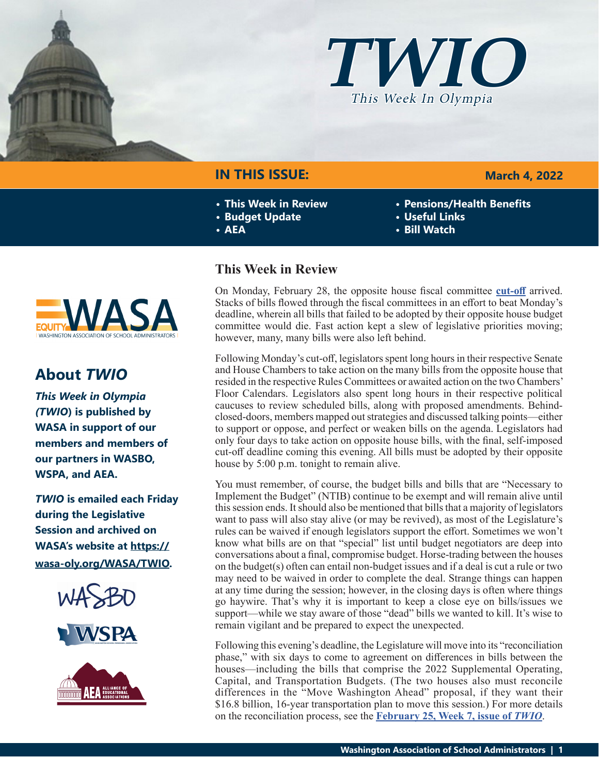



# **IN THIS ISSUE:**

- **• This Week in Review**
- **• Budget Update**
- **• AEA**

### **March 4, 2022**

- **• Pensions/Health Benefits**
- **• Useful Links**
- **• Bill Watch**



# **About** *TWIO*

*This Week in Olympia (TWIO***) is published by WASA in support of our members and members of our partners in WASBO, WSPA, and AEA.**

*TWIO* **is emailed each Friday during the Legislative Session and archived on WASA's website at [https://](http://app.leg.wa.gov/billsummary?Year=2021&BillNumber=1803) [wasa-oly.org/WASA/TWIO](http://app.leg.wa.gov/billsummary?Year=2021&BillNumber=1803).** 





# **This Week in Review**

On Monday, February 28, the opposite house fiscal committee **[cut-off](https://leg.wa.gov/legislature/Pages/cutoff.aspx)** arrived. Stacks of bills flowed through the fiscal committees in an effort to beat Monday's deadline, wherein all bills that failed to be adopted by their opposite house budget committee would die. Fast action kept a slew of legislative priorities moving; however, many, many bills were also left behind.

Following Monday's cut-off, legislators spent long hours in their respective Senate and House Chambers to take action on the many bills from the opposite house that resided in the respective Rules Committees or awaited action on the two Chambers' Floor Calendars. Legislators also spent long hours in their respective political caucuses to review scheduled bills, along with proposed amendments. Behindclosed-doors, members mapped out strategies and discussed talking points—either to support or oppose, and perfect or weaken bills on the agenda. Legislators had only four days to take action on opposite house bills, with the final, self-imposed cut-off deadline coming this evening. All bills must be adopted by their opposite house by 5:00 p.m. tonight to remain alive.

You must remember, of course, the budget bills and bills that are "Necessary to Implement the Budget" (NTIB) continue to be exempt and will remain alive until this session ends. It should also be mentioned that bills that a majority of legislators want to pass will also stay alive (or may be revived), as most of the Legislature's rules can be waived if enough legislators support the effort. Sometimes we won't know what bills are on that "special" list until budget negotiators are deep into conversations about a final, compromise budget. Horse-trading between the houses on the budget(s) often can entail non-budget issues and if a deal is cut a rule or two may need to be waived in order to complete the deal. Strange things can happen at any time during the session; however, in the closing days is often where things go haywire. That's why it is important to keep a close eye on bills/issues we support—while we stay aware of those "dead" bills we wanted to kill. It's wise to remain vigilant and be prepared to expect the unexpected.

Following this evening's deadline, the Legislature will move into its "reconciliation phase," with six days to come to agreement on differences in bills between the houses—including the bills that comprise the 2022 Supplemental Operating, Capital, and Transportation Budgets. (The two houses also must reconcile differences in the "Move Washington Ahead" proposal, if they want their \$16.8 billion, 16-year transportation plan to move this session.) For more details on the reconciliation process, see the **[February 25, Week 7, issue of](https://wasa-oly.org/WASA/images/WASA/4.0 Government Relations/4.4.1 This Week In Olympia - TWIO/Download_Files/TWIO 2022/Week 7.pdf)** *TWIO*.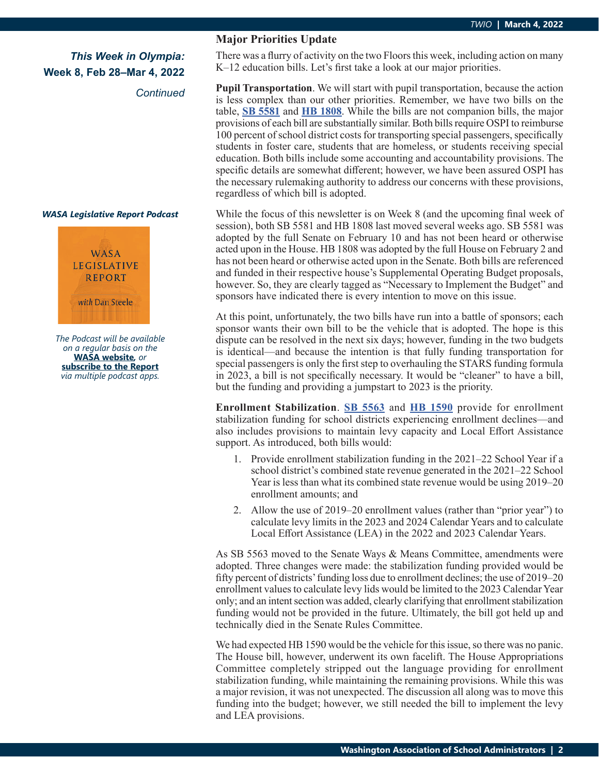*Continued*

#### *WASA Legislative Report Podcast*



*The Podcast will be available on a regular basis on the*  **[WASA website](http://app.leg.wa.gov/billsummary?Year=2021&BillNumber=1630)***, or* **[subscribe to the Report](http://app.leg.wa.gov/billsummary?Year=2021&BillNumber=1629)** *via multiple podcast apps.*

### **Major Priorities Update**

There was a flurry of activity on the two Floors this week, including action on many K–12 education bills. Let's first take a look at our major priorities.

**Pupil Transportation**. We will start with pupil transportation, because the action is less complex than our other priorities. Remember, we have two bills on the table, **[SB 5581](https://app.leg.wa.gov/billsummary?BillNumber=5581&Year=2021&Initiative=false)** and **[HB 1808](https://app.leg.wa.gov/billsummary?BillNumber=1808&Initiative=false&Year=2021)**. While the bills are not companion bills, the major provisions of each bill are substantially similar. Both bills require OSPI to reimburse 100 percent of school district costs for transporting special passengers, specifically students in foster care, students that are homeless, or students receiving special education. Both bills include some accounting and accountability provisions. The specific details are somewhat different; however, we have been assured OSPI has the necessary rulemaking authority to address our concerns with these provisions, regardless of which bill is adopted.

While the focus of this newsletter is on Week 8 (and the upcoming final week of session), both SB 5581 and HB 1808 last moved several weeks ago. SB 5581 was adopted by the full Senate on February 10 and has not been heard or otherwise acted upon in the House. HB 1808 was adopted by the full House on February 2 and has not been heard or otherwise acted upon in the Senate. Both bills are referenced and funded in their respective house's Supplemental Operating Budget proposals, however. So, they are clearly tagged as "Necessary to Implement the Budget" and sponsors have indicated there is every intention to move on this issue.

At this point, unfortunately, the two bills have run into a battle of sponsors; each sponsor wants their own bill to be the vehicle that is adopted. The hope is this dispute can be resolved in the next six days; however, funding in the two budgets is identical—and because the intention is that fully funding transportation for special passengers is only the first step to overhauling the STARS funding formula in 2023, a bill is not specifically necessary. It would be "cleaner" to have a bill, but the funding and providing a jumpstart to 2023 is the priority.

**Enrollment Stabilization**. **[SB 5563](https://app.leg.wa.gov/billsummary?BillNumber=5563&Initiative=false&Year=2021)** and **[HB 1590](https://app.leg.wa.gov/billsummary?BillNumber=1590&Initiative=false&Year=2021)** provide for enrollment stabilization funding for school districts experiencing enrollment declines—and also includes provisions to maintain levy capacity and Local Effort Assistance support. As introduced, both bills would:

- 1. Provide enrollment stabilization funding in the 2021–22 School Year if a school district's combined state revenue generated in the 2021–22 School Year is less than what its combined state revenue would be using 2019–20 enrollment amounts; and
- 2. Allow the use of 2019–20 enrollment values (rather than "prior year") to calculate levy limits in the 2023 and 2024 Calendar Years and to calculate Local Effort Assistance (LEA) in the 2022 and 2023 Calendar Years.

As SB 5563 moved to the Senate Ways & Means Committee, amendments were adopted. Three changes were made: the stabilization funding provided would be fifty percent of districts' funding loss due to enrollment declines; the use of 2019–20 enrollment values to calculate levy lids would be limited to the 2023 Calendar Year only; and an intent section was added, clearly clarifying that enrollment stabilization funding would not be provided in the future. Ultimately, the bill got held up and technically died in the Senate Rules Committee.

We had expected HB 1590 would be the vehicle for this issue, so there was no panic. The House bill, however, underwent its own facelift. The House Appropriations Committee completely stripped out the language providing for enrollment stabilization funding, while maintaining the remaining provisions. While this was a major revision, it was not unexpected. The discussion all along was to move this funding into the budget; however, we still needed the bill to implement the levy and LEA provisions.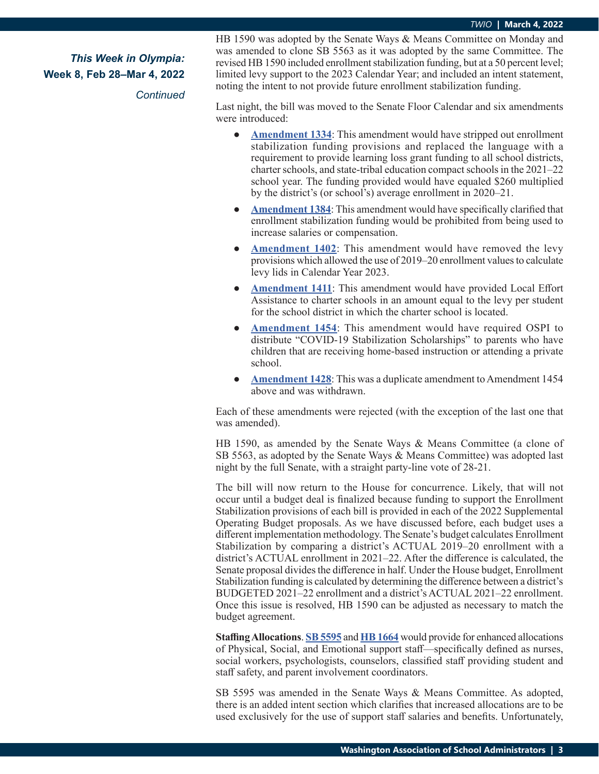*Continued*

HB 1590 was adopted by the Senate Ways & Means Committee on Monday and was amended to clone SB 5563 as it was adopted by the same Committee. The revised HB 1590 included enrollment stabilization funding, but at a 50 percent level; limited levy support to the 2023 Calendar Year; and included an intent statement, noting the intent to not provide future enrollment stabilization funding.

Last night, the bill was moved to the Senate Floor Calendar and six amendments were introduced:

- **[Amendment 1334](https://lawfilesext.leg.wa.gov/biennium/2021-22/Pdf/Amendments/Senate/1590-S AMS BRAU S5267.1.pdf)**: This amendment would have stripped out enrollment stabilization funding provisions and replaced the language with a requirement to provide learning loss grant funding to all school districts, charter schools, and state-tribal education compact schools in the 2021–22 school year. The funding provided would have equaled \$260 multiplied by the district's (or school's) average enrollment in 2020–21.
- **[Amendment 1384](https://lawfilesext.leg.wa.gov/biennium/2021-22/Pdf/Amendments/Senate/1590-S AMS SCHO S5302.1.pdf):** This amendment would have specifically clarified that enrollment stabilization funding would be prohibited from being used to increase salaries or compensation.
- **[Amendment 1402](https://lawfilesext.leg.wa.gov/biennium/2021-22/Pdf/Amendments/Senate/1590-S AMS SCHO S5353.1.pdf):** This amendment would have removed the levy provisions which allowed the use of 2019–20 enrollment values to calculate levy lids in Calendar Year 2023.
- **[Amendment 1411](https://lawfilesext.leg.wa.gov/biennium/2021-22/Pdf/Amendments/Senate/1590-S AMS WILS S5350.1.pdf):** This amendment would have provided Local Effort Assistance to charter schools in an amount equal to the levy per student for the school district in which the charter school is located.
- **● [Amendment 1454](https://lawfilesext.leg.wa.gov/biennium/2021-22/Pdf/Amendments/Senate/1590-S AMS FORT S5359.2.pdf)**: This amendment would have required OSPI to distribute "COVID-19 Stabilization Scholarships" to parents who have children that are receiving home-based instruction or attending a private school.
- **[Amendment 1428](https://lawfilesext.leg.wa.gov/biennium/2021-22/Pdf/Amendments/Senate/1590-S AMS FORT S5359.1.pdf):** This was a duplicate amendment to Amendment 1454 above and was withdrawn.

Each of these amendments were rejected (with the exception of the last one that was amended).

HB 1590, as amended by the Senate Ways & Means Committee (a clone of SB 5563, as adopted by the Senate Ways & Means Committee) was adopted last night by the full Senate, with a straight party-line vote of 28-21.

The bill will now return to the House for concurrence. Likely, that will not occur until a budget deal is finalized because funding to support the Enrollment Stabilization provisions of each bill is provided in each of the 2022 Supplemental Operating Budget proposals. As we have discussed before, each budget uses a different implementation methodology. The Senate's budget calculates Enrollment Stabilization by comparing a district's ACTUAL 2019–20 enrollment with a district's ACTUAL enrollment in 2021–22. After the difference is calculated, the Senate proposal divides the difference in half. Under the House budget, Enrollment Stabilization funding is calculated by determining the difference between a district's BUDGETED 2021–22 enrollment and a district's ACTUAL 2021–22 enrollment. Once this issue is resolved, HB 1590 can be adjusted as necessary to match the budget agreement.

**Staffing Allocations**. **[SB 5595](https://app.leg.wa.gov/billsummary?BillNumber=5595&Initiative=false&Year=2021)** and **[HB 1664](https://app.leg.wa.gov/billsummary?BillNumber=1664&Initiative=false&Year=2021)** would provide for enhanced allocations of Physical, Social, and Emotional support staff—specifically defined as nurses, social workers, psychologists, counselors, classified staff providing student and staff safety, and parent involvement coordinators.

SB 5595 was amended in the Senate Ways & Means Committee. As adopted, there is an added intent section which clarifies that increased allocations are to be used exclusively for the use of support staff salaries and benefits. Unfortunately,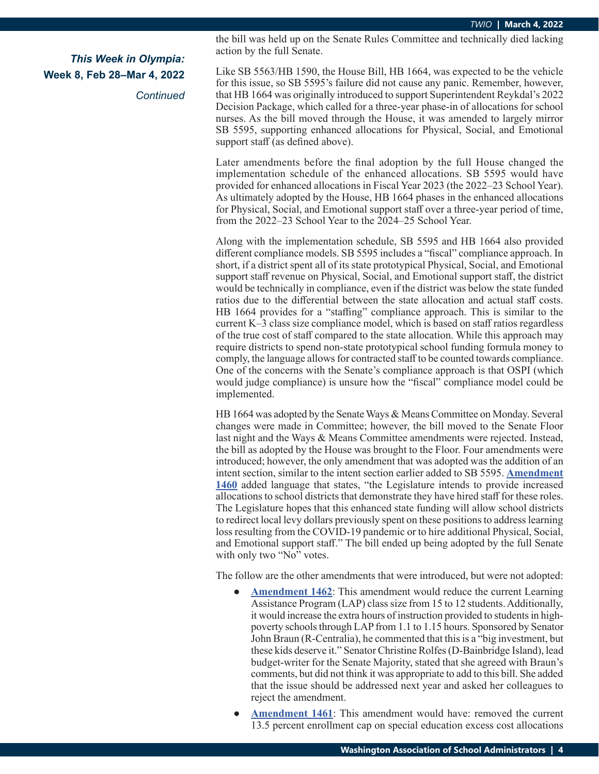*Continued*

the bill was held up on the Senate Rules Committee and technically died lacking action by the full Senate.

Like SB 5563/HB 1590, the House Bill, HB 1664, was expected to be the vehicle for this issue, so SB 5595's failure did not cause any panic. Remember, however, that HB 1664 was originally introduced to support Superintendent Reykdal's 2022 Decision Package, which called for a three-year phase-in of allocations for school nurses. As the bill moved through the House, it was amended to largely mirror SB 5595, supporting enhanced allocations for Physical, Social, and Emotional support staff (as defined above).

Later amendments before the final adoption by the full House changed the implementation schedule of the enhanced allocations. SB 5595 would have provided for enhanced allocations in Fiscal Year 2023 (the 2022–23 School Year). As ultimately adopted by the House, HB 1664 phases in the enhanced allocations for Physical, Social, and Emotional support staff over a three-year period of time, from the 2022–23 School Year to the 2024–25 School Year.

Along with the implementation schedule, SB 5595 and HB 1664 also provided different compliance models. SB 5595 includes a "fiscal" compliance approach. In short, if a district spent all of its state prototypical Physical, Social, and Emotional support staff revenue on Physical, Social, and Emotional support staff, the district would be technically in compliance, even if the district was below the state funded ratios due to the differential between the state allocation and actual staff costs. HB 1664 provides for a "staffing" compliance approach. This is similar to the current K–3 class size compliance model, which is based on staff ratios regardless of the true cost of staff compared to the state allocation. While this approach may require districts to spend non-state prototypical school funding formula money to comply, the language allows for contracted staff to be counted towards compliance. One of the concerns with the Senate's compliance approach is that OSPI (which would judge compliance) is unsure how the "fiscal" compliance model could be implemented.

HB 1664 was adopted by the Senate Ways & Means Committee on Monday. Several changes were made in Committee; however, the bill moved to the Senate Floor last night and the Ways & Means Committee amendments were rejected. Instead, the bill as adopted by the House was brought to the Floor. Four amendments were introduced; however, the only amendment that was adopted was the addition of an intent section, similar to the intent section earlier added to SB 5595. **[Amendment](https://lawfilesext.leg.wa.gov/biennium/2021-22/Pdf/Amendments/Senate/1664-S2 AMS MULL S5380.2.pdf)  [1460](https://lawfilesext.leg.wa.gov/biennium/2021-22/Pdf/Amendments/Senate/1664-S2 AMS MULL S5380.2.pdf)** added language that states, "the Legislature intends to provide increased allocations to school districts that demonstrate they have hired staff for these roles. The Legislature hopes that this enhanced state funding will allow school districts to redirect local levy dollars previously spent on these positions to address learning loss resulting from the COVID-19 pandemic or to hire additional Physical, Social, and Emotional support staff." The bill ended up being adopted by the full Senate with only two "No" votes.

The follow are the other amendments that were introduced, but were not adopted:

- **[Amendment 1462](https://lawfilesext.leg.wa.gov/biennium/2021-22/Pdf/Amendments/Senate/1664-S2 AMS BRAU S5383.1.pdf)**: This amendment would reduce the current Learning Assistance Program (LAP) class size from 15 to 12 students. Additionally, it would increase the extra hours of instruction provided to students in highpoverty schools through LAP from 1.1 to 1.15 hours. Sponsored by Senator John Braun (R-Centralia), he commented that this is a "big investment, but these kids deserve it." Senator Christine Rolfes (D-Bainbridge Island), lead budget-writer for the Senate Majority, stated that she agreed with Braun's comments, but did not think it was appropriate to add to this bill. She added that the issue should be addressed next year and asked her colleagues to reject the amendment.
- **[Amendment 1461](https://lawfilesext.leg.wa.gov/biennium/2021-22/Pdf/Amendments/Senate/1664-S2 AMS BRAU S5381.1.pdf):** This amendment would have: removed the current 13.5 percent enrollment cap on special education excess cost allocations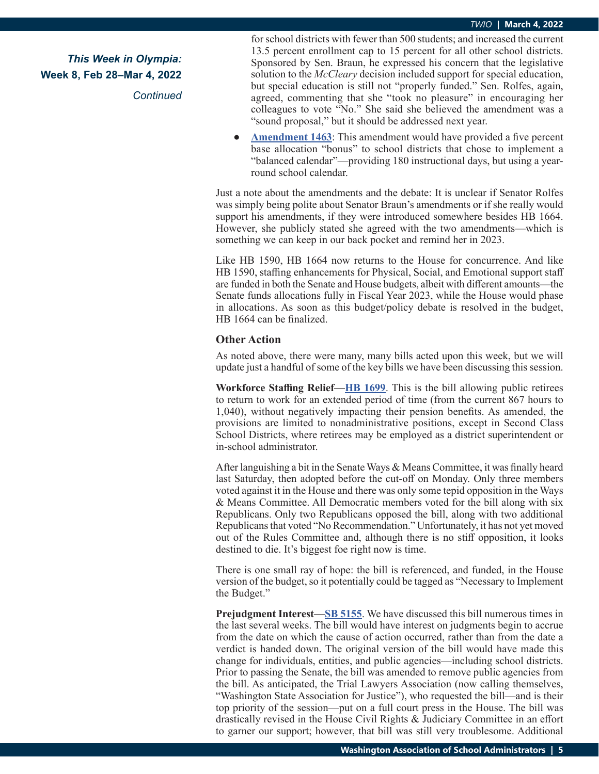*Continued*

for school districts with fewer than 500 students; and increased the current 13.5 percent enrollment cap to 15 percent for all other school districts. Sponsored by Sen. Braun, he expressed his concern that the legislative solution to the *McCleary* decision included support for special education, but special education is still not "properly funded." Sen. Rolfes, again, agreed, commenting that she "took no pleasure" in encouraging her colleagues to vote "No." She said she believed the amendment was a "sound proposal," but it should be addressed next year.

**[Amendment 1463](https://lawfilesext.leg.wa.gov/biennium/2021-22/Pdf/Amendments/Senate/1664-S2 AMS KING S5382.1.pdf)**: This amendment would have provided a five percent base allocation "bonus" to school districts that chose to implement a "balanced calendar"—providing 180 instructional days, but using a yearround school calendar.

Just a note about the amendments and the debate: It is unclear if Senator Rolfes was simply being polite about Senator Braun's amendments or if she really would support his amendments, if they were introduced somewhere besides HB 1664. However, she publicly stated she agreed with the two amendments—which is something we can keep in our back pocket and remind her in 2023.

Like HB 1590, HB 1664 now returns to the House for concurrence. And like HB 1590, staffing enhancements for Physical, Social, and Emotional support staff are funded in both the Senate and House budgets, albeit with different amounts—the Senate funds allocations fully in Fiscal Year 2023, while the House would phase in allocations. As soon as this budget/policy debate is resolved in the budget, HB 1664 can be finalized.

#### **Other Action**

As noted above, there were many, many bills acted upon this week, but we will update just a handful of some of the key bills we have been discussing this session.

**Workforce Staffing Relief—[HB 1699](https://app.leg.wa.gov/billsummary?BillNumber=1699&Initiative=false&Year=2021)**. This is the bill allowing public retirees to return to work for an extended period of time (from the current 867 hours to 1,040), without negatively impacting their pension benefits. As amended, the provisions are limited to nonadministrative positions, except in Second Class School Districts, where retirees may be employed as a district superintendent or in-school administrator.

After languishing a bit in the Senate Ways & Means Committee, it was finally heard last Saturday, then adopted before the cut-off on Monday. Only three members voted against it in the House and there was only some tepid opposition in the Ways & Means Committee. All Democratic members voted for the bill along with six Republicans. Only two Republicans opposed the bill, along with two additional Republicans that voted "No Recommendation." Unfortunately, it has not yet moved out of the Rules Committee and, although there is no stiff opposition, it looks destined to die. It's biggest foe right now is time.

There is one small ray of hope: the bill is referenced, and funded, in the House version of the budget, so it potentially could be tagged as "Necessary to Implement the Budget."

**Prejudgment Interest—[SB 5155](https://app.leg.wa.gov/billsummary?BillNumber=5155&Initiative=false&Year=2021)**. We have discussed this bill numerous times in the last several weeks. The bill would have interest on judgments begin to accrue from the date on which the cause of action occurred, rather than from the date a verdict is handed down. The original version of the bill would have made this change for individuals, entities, and public agencies—including school districts. Prior to passing the Senate, the bill was amended to remove public agencies from the bill. As anticipated, the Trial Lawyers Association (now calling themselves, "Washington State Association for Justice"), who requested the bill—and is their top priority of the session—put on a full court press in the House. The bill was drastically revised in the House Civil Rights & Judiciary Committee in an effort to garner our support; however, that bill was still very troublesome. Additional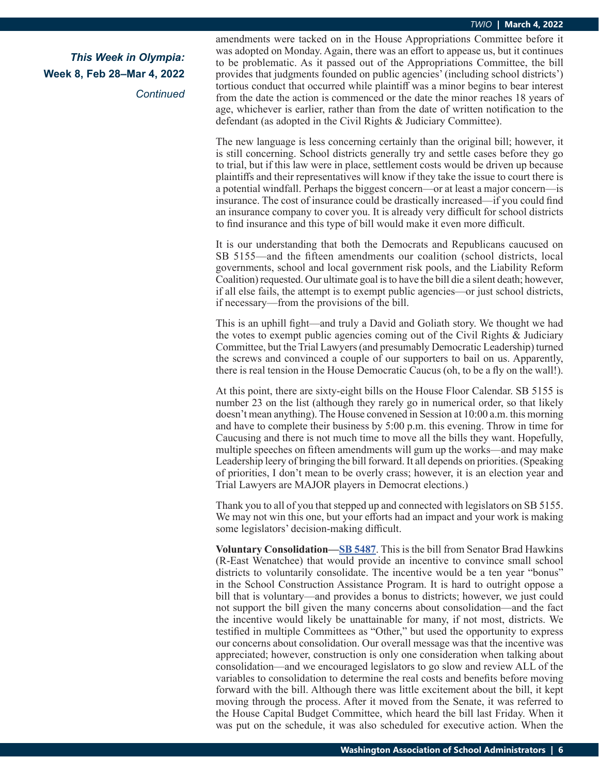*Continued*

amendments were tacked on in the House Appropriations Committee before it was adopted on Monday. Again, there was an effort to appease us, but it continues to be problematic. As it passed out of the Appropriations Committee, the bill provides that judgments founded on public agencies' (including school districts') tortious conduct that occurred while plaintiff was a minor begins to bear interest from the date the action is commenced or the date the minor reaches 18 years of age, whichever is earlier, rather than from the date of written notification to the defendant (as adopted in the Civil Rights & Judiciary Committee).

The new language is less concerning certainly than the original bill; however, it is still concerning. School districts generally try and settle cases before they go to trial, but if this law were in place, settlement costs would be driven up because plaintiffs and their representatives will know if they take the issue to court there is a potential windfall. Perhaps the biggest concern—or at least a major concern—is insurance. The cost of insurance could be drastically increased—if you could find an insurance company to cover you. It is already very difficult for school districts to find insurance and this type of bill would make it even more difficult.

It is our understanding that both the Democrats and Republicans caucused on SB 5155—and the fifteen amendments our coalition (school districts, local governments, school and local government risk pools, and the Liability Reform Coalition) requested. Our ultimate goal is to have the bill die a silent death; however, if all else fails, the attempt is to exempt public agencies—or just school districts, if necessary—from the provisions of the bill.

This is an uphill fight—and truly a David and Goliath story. We thought we had the votes to exempt public agencies coming out of the Civil Rights & Judiciary Committee, but the Trial Lawyers (and presumably Democratic Leadership) turned the screws and convinced a couple of our supporters to bail on us. Apparently, there is real tension in the House Democratic Caucus (oh, to be a fly on the wall!).

At this point, there are sixty-eight bills on the House Floor Calendar. SB 5155 is number 23 on the list (although they rarely go in numerical order, so that likely doesn't mean anything). The House convened in Session at 10:00 a.m. this morning and have to complete their business by 5:00 p.m. this evening. Throw in time for Caucusing and there is not much time to move all the bills they want. Hopefully, multiple speeches on fifteen amendments will gum up the works—and may make Leadership leery of bringing the bill forward. It all depends on priorities. (Speaking of priorities, I don't mean to be overly crass; however, it is an election year and Trial Lawyers are MAJOR players in Democrat elections.)

Thank you to all of you that stepped up and connected with legislators on SB 5155. We may not win this one, but your efforts had an impact and your work is making some legislators' decision-making difficult.

**Voluntary Consolidation—[SB 5487](https://app.leg.wa.gov/billsummary?BillNumber=5487&Initiative=false&Year=2021)**. This is the bill from Senator Brad Hawkins (R-East Wenatchee) that would provide an incentive to convince small school districts to voluntarily consolidate. The incentive would be a ten year "bonus" in the School Construction Assistance Program. It is hard to outright oppose a bill that is voluntary—and provides a bonus to districts; however, we just could not support the bill given the many concerns about consolidation—and the fact the incentive would likely be unattainable for many, if not most, districts. We testified in multiple Committees as "Other," but used the opportunity to express our concerns about consolidation. Our overall message was that the incentive was appreciated; however, construction is only one consideration when talking about consolidation—and we encouraged legislators to go slow and review ALL of the variables to consolidation to determine the real costs and benefits before moving forward with the bill. Although there was little excitement about the bill, it kept moving through the process. After it moved from the Senate, it was referred to the House Capital Budget Committee, which heard the bill last Friday. When it was put on the schedule, it was also scheduled for executive action. When the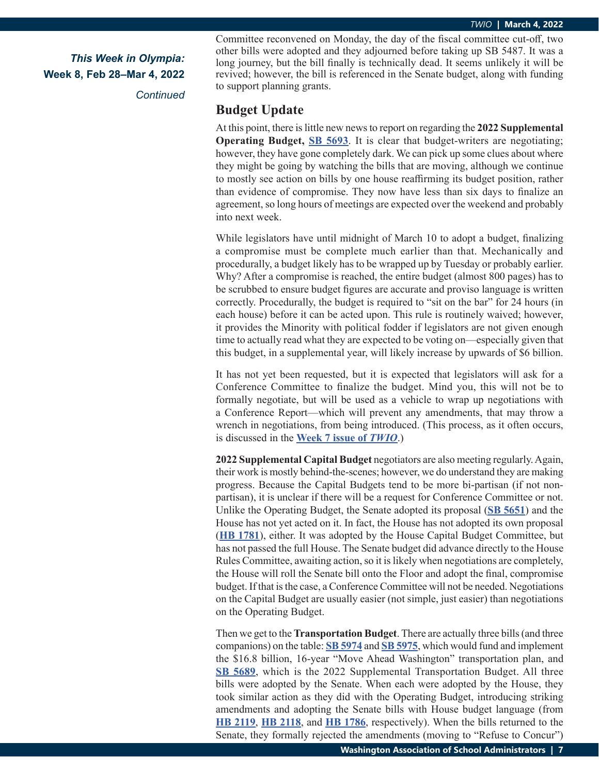*Continued*

Committee reconvened on Monday, the day of the fiscal committee cut-off, two other bills were adopted and they adjourned before taking up SB 5487. It was a long journey, but the bill finally is technically dead. It seems unlikely it will be revived; however, the bill is referenced in the Senate budget, along with funding to support planning grants.

### **Budget Update**

At this point, there is little new news to report on regarding the **2022 Supplemental Operating Budget, [SB 5693](https://app.leg.wa.gov/billsummary?BillNumber=5693&Year=2021&Initiative=false)**. It is clear that budget-writers are negotiating; however, they have gone completely dark. We can pick up some clues about where they might be going by watching the bills that are moving, although we continue to mostly see action on bills by one house reaffirming its budget position, rather than evidence of compromise. They now have less than six days to finalize an agreement, so long hours of meetings are expected over the weekend and probably into next week.

While legislators have until midnight of March 10 to adopt a budget, finalizing a compromise must be complete much earlier than that. Mechanically and procedurally, a budget likely has to be wrapped up by Tuesday or probably earlier. Why? After a compromise is reached, the entire budget (almost 800 pages) has to be scrubbed to ensure budget figures are accurate and proviso language is written correctly. Procedurally, the budget is required to "sit on the bar" for 24 hours (in each house) before it can be acted upon. This rule is routinely waived; however, it provides the Minority with political fodder if legislators are not given enough time to actually read what they are expected to be voting on—especially given that this budget, in a supplemental year, will likely increase by upwards of \$6 billion.

It has not yet been requested, but it is expected that legislators will ask for a Conference Committee to finalize the budget. Mind you, this will not be to formally negotiate, but will be used as a vehicle to wrap up negotiations with a Conference Report—which will prevent any amendments, that may throw a wrench in negotiations, from being introduced. (This process, as it often occurs, is discussed in the **[Week 7 issue of](https://wasa-oly.org/WASA/images/WASA/4.0 Government Relations/4.4.1 This Week In Olympia - TWIO/Download_Files/TWIO 2022/Week 7.pdf)** *TWIO*.)

**2022 Supplemental Capital Budget** negotiators are also meeting regularly. Again, their work is mostly behind-the-scenes; however, we do understand they are making progress. Because the Capital Budgets tend to be more bi-partisan (if not nonpartisan), it is unclear if there will be a request for Conference Committee or not. Unlike the Operating Budget, the Senate adopted its proposal (**[SB 5651](https://app.leg.wa.gov/billsummary?BillNumber=5651&Chamber=Senate&Year=2021)**) and the House has not yet acted on it. In fact, the House has not adopted its own proposal (**[HB 1781](https://app.leg.wa.gov/billsummary?BillNumber=1781&Chamber=House&Year=2021)**), either. It was adopted by the House Capital Budget Committee, but has not passed the full House. The Senate budget did advance directly to the House Rules Committee, awaiting action, so it is likely when negotiations are completely, the House will roll the Senate bill onto the Floor and adopt the final, compromise budget. If that is the case, a Conference Committee will not be needed. Negotiations on the Capital Budget are usually easier (not simple, just easier) than negotiations on the Operating Budget.

Then we get to the **Transportation Budget**. There are actually three bills (and three companions) on the table: **[SB 5974](https://app.leg.wa.gov/billsummary?BillNumber=5974&Initiative=false&Year=2021)** and **[SB 5975](https://app.leg.wa.gov/billsummary?BillNumber=5975&Initiative=false&Year=2021)**, which would fund and implement the \$16.8 billion, 16-year "Move Ahead Washington" transportation plan, and **[SB 5689](https://app.leg.wa.gov/billsummary?BillNumber=5689&Initiative=false&Year=2021)**, which is the 2022 Supplemental Transportation Budget. All three bills were adopted by the Senate. When each were adopted by the House, they took similar action as they did with the Operating Budget, introducing striking amendments and adopting the Senate bills with House budget language (from **[HB 2119](https://app.leg.wa.gov/billsummary?BillNumber=2119&Chamber=House&Year=2021)**, **[HB 2118](https://app.leg.wa.gov/billsummary?BillNumber=2118&Chamber=House&Year=2021)**, and **[HB 1786](https://app.leg.wa.gov/billsummary?BillNumber=1786&Chamber=House&Year=2021)**, respectively). When the bills returned to the Senate, they formally rejected the amendments (moving to "Refuse to Concur")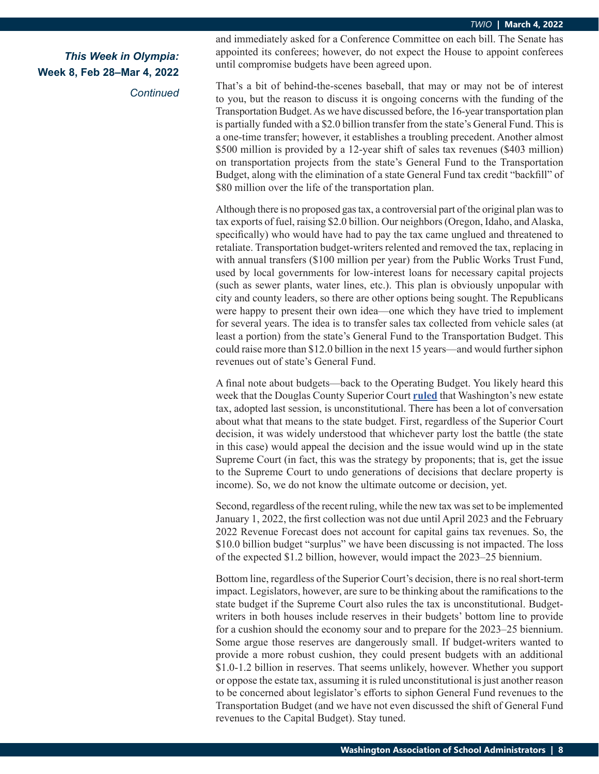*Continued*

and immediately asked for a Conference Committee on each bill. The Senate has appointed its conferees; however, do not expect the House to appoint conferees until compromise budgets have been agreed upon.

That's a bit of behind-the-scenes baseball, that may or may not be of interest to you, but the reason to discuss it is ongoing concerns with the funding of the Transportation Budget. As we have discussed before, the 16-year transportation plan is partially funded with a \$2.0 billion transfer from the state's General Fund. This is a one-time transfer; however, it establishes a troubling precedent. Another almost \$500 million is provided by a 12-year shift of sales tax revenues (\$403 million) on transportation projects from the state's General Fund to the Transportation Budget, along with the elimination of a state General Fund tax credit "backfill" of \$80 million over the life of the transportation plan.

Although there is no proposed gas tax, a controversial part of the original plan was to tax exports of fuel, raising \$2.0 billion. Our neighbors (Oregon, Idaho, and Alaska, specifically) who would have had to pay the tax came unglued and threatened to retaliate. Transportation budget-writers relented and removed the tax, replacing in with annual transfers (\$100 million per year) from the Public Works Trust Fund, used by local governments for low-interest loans for necessary capital projects (such as sewer plants, water lines, etc.). This plan is obviously unpopular with city and county leaders, so there are other options being sought. The Republicans were happy to present their own idea—one which they have tried to implement for several years. The idea is to transfer sales tax collected from vehicle sales (at least a portion) from the state's General Fund to the Transportation Budget. This could raise more than \$12.0 billion in the next 15 years—and would further siphon revenues out of state's General Fund.

A final note about budgets—back to the Operating Budget. You likely heard this week that the Douglas County Superior Court **[ruled](https://agportal-s3bucket.s3.amazonaws.com/uploadedfiles/Another/News/Press_Releases/21-2-00075-09 -.pdf)** that Washington's new estate tax, adopted last session, is unconstitutional. There has been a lot of conversation about what that means to the state budget. First, regardless of the Superior Court decision, it was widely understood that whichever party lost the battle (the state in this case) would appeal the decision and the issue would wind up in the state Supreme Court (in fact, this was the strategy by proponents; that is, get the issue to the Supreme Court to undo generations of decisions that declare property is income). So, we do not know the ultimate outcome or decision, yet.

Second, regardless of the recent ruling, while the new tax was set to be implemented January 1, 2022, the first collection was not due until April 2023 and the February 2022 Revenue Forecast does not account for capital gains tax revenues. So, the \$10.0 billion budget "surplus" we have been discussing is not impacted. The loss of the expected \$1.2 billion, however, would impact the 2023–25 biennium.

Bottom line, regardless of the Superior Court's decision, there is no real short-term impact. Legislators, however, are sure to be thinking about the ramifications to the state budget if the Supreme Court also rules the tax is unconstitutional. Budgetwriters in both houses include reserves in their budgets' bottom line to provide for a cushion should the economy sour and to prepare for the 2023–25 biennium. Some argue those reserves are dangerously small. If budget-writers wanted to provide a more robust cushion, they could present budgets with an additional \$1.0-1.2 billion in reserves. That seems unlikely, however. Whether you support or oppose the estate tax, assuming it is ruled unconstitutional is just another reason to be concerned about legislator's efforts to siphon General Fund revenues to the Transportation Budget (and we have not even discussed the shift of General Fund revenues to the Capital Budget). Stay tuned.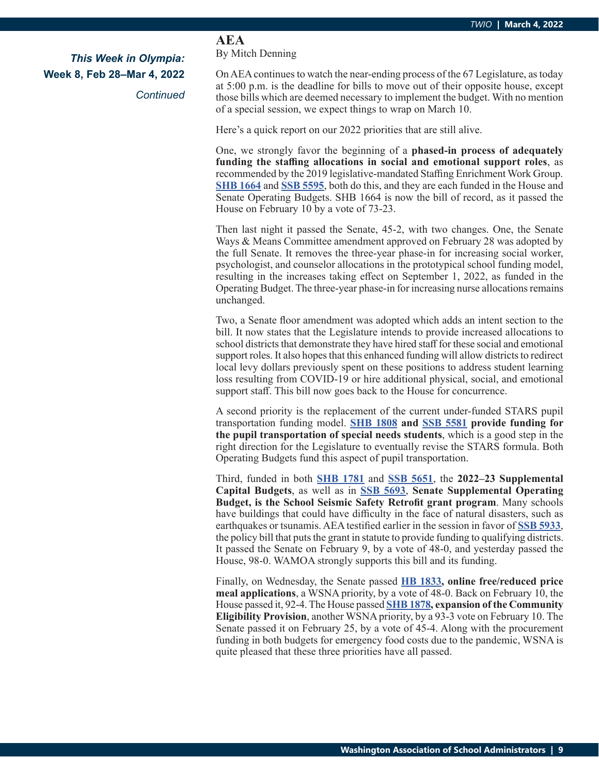*Continued*

# **AEA**

By Mitch Denning

On AEA continues to watch the near-ending process of the 67 Legislature, as today at 5:00 p.m. is the deadline for bills to move out of their opposite house, except those bills which are deemed necessary to implement the budget. With no mention of a special session, we expect things to wrap on March 10.

Here's a quick report on our 2022 priorities that are still alive.

One, we strongly favor the beginning of a **phased-in process of adequately funding the staffing allocations in social and emotional support roles**, as recommended by the 2019 legislative-mandated Staffing Enrichment Work Group. **[SHB 1664](https://app.leg.wa.gov/billsummary?BillNumber=1664&Initiative=false&Year=2021)** and **[SSB 5595](https://app.leg.wa.gov/billsummary?BillNumber=5595&Initiative=false&Year=2021)**, both do this, and they are each funded in the House and Senate Operating Budgets. SHB 1664 is now the bill of record, as it passed the House on February 10 by a vote of 73-23.

Then last night it passed the Senate, 45-2, with two changes. One, the Senate Ways & Means Committee amendment approved on February 28 was adopted by the full Senate. It removes the three-year phase-in for increasing social worker, psychologist, and counselor allocations in the prototypical school funding model, resulting in the increases taking effect on September 1, 2022, as funded in the Operating Budget. The three-year phase-in for increasing nurse allocations remains unchanged.

Two, a Senate floor amendment was adopted which adds an intent section to the bill. It now states that the Legislature intends to provide increased allocations to school districts that demonstrate they have hired staff for these social and emotional support roles. It also hopes that this enhanced funding will allow districts to redirect local levy dollars previously spent on these positions to address student learning loss resulting from COVID-19 or hire additional physical, social, and emotional support staff. This bill now goes back to the House for concurrence.

A second priority is the replacement of the current under-funded STARS pupil transportation funding model. **[SHB 1808](https://app.leg.wa.gov/billsummary?BillNumber=1808&Initiative=false&Year=2021) and [SSB 5581](https://app.leg.wa.gov/billsummary?BillNumber=5581&Initiative=false&Year=2021) provide funding for the pupil transportation of special needs students**, which is a good step in the right direction for the Legislature to eventually revise the STARS formula. Both Operating Budgets fund this aspect of pupil transportation.

Third, funded in both **[SHB 1781](https://app.leg.wa.gov/billsummary?BillNumber=1781&Initiative=false&Year=2021)** and **[SSB 5651](https://app.leg.wa.gov/billsummary?BillNumber=5651&Initiative=false&Year=2021)**, the **2022–23 Supplemental Capital Budgets**, as well as in **[SSB 5693](https://app.leg.wa.gov/billsummary?BillNumber=5693&Initiative=false&Year=2021)**, **Senate Supplemental Operating Budget, is the School Seismic Safety Retrofit grant program**. Many schools have buildings that could have difficulty in the face of natural disasters, such as earthquakes or tsunamis. AEA testified earlier in the session in favor of **[SSB 5933](https://app.leg.wa.gov/billsummary?BillNumber=5933&Initiative=false&Year=2021)**, the policy bill that puts the grant in statute to provide funding to qualifying districts. It passed the Senate on February 9, by a vote of 48-0, and yesterday passed the House, 98-0. WAMOA strongly supports this bill and its funding.

Finally, on Wednesday, the Senate passed **[HB 1833](https://app.leg.wa.gov/billsummary?BillNumber=1833&Initiative=false&Year=2021), online free/reduced price meal applications**, a WSNA priority, by a vote of 48-0. Back on February 10, the House passed it, 92-4. The House passed **[SHB 1878](https://app.leg.wa.gov/billsummary?BillNumber=1878&Initiative=false&Year=2021), expansion of the Community Eligibility Provision**, another WSNA priority, by a 93-3 vote on February 10. The Senate passed it on February 25, by a vote of 45-4. Along with the procurement funding in both budgets for emergency food costs due to the pandemic, WSNA is quite pleased that these three priorities have all passed.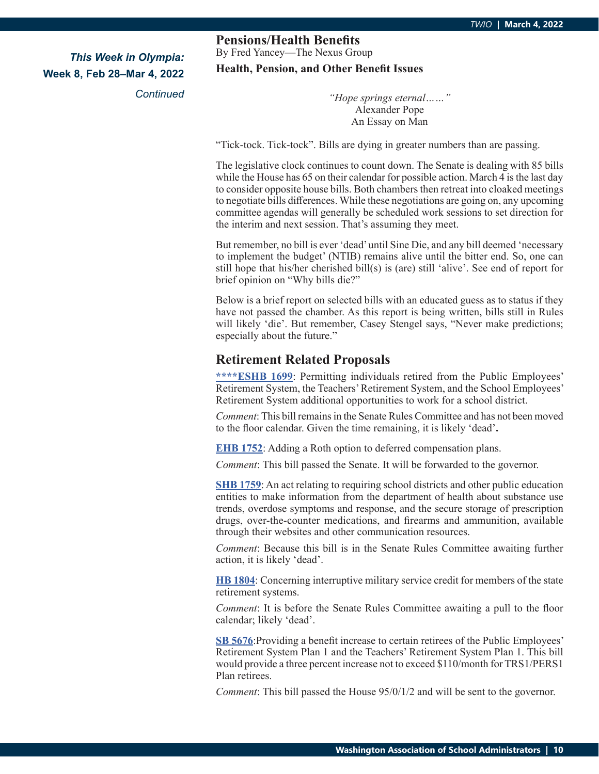*Continued*

**Pensions/Health Benefits** By Fred Yancey—The Nexus Group **Health, Pension, and Other Benefit Issues**

> *"Hope springs eternal……"* Alexander Pope An Essay on Man

"Tick-tock. Tick-tock". Bills are dying in greater numbers than are passing.

The legislative clock continues to count down. The Senate is dealing with 85 bills while the House has 65 on their calendar for possible action. March 4 is the last day to consider opposite house bills. Both chambers then retreat into cloaked meetings to negotiate bills differences. While these negotiations are going on, any upcoming committee agendas will generally be scheduled work sessions to set direction for the interim and next session. That's assuming they meet.

But remember, no bill is ever 'dead' until Sine Die, and any bill deemed 'necessary to implement the budget' (NTIB) remains alive until the bitter end. So, one can still hope that his/her cherished bill(s) is (are) still 'alive'. See end of report for brief opinion on "Why bills die?"

Below is a brief report on selected bills with an educated guess as to status if they have not passed the chamber. As this report is being written, bills still in Rules will likely 'die'. But remember, Casey Stengel says, "Never make predictions; especially about the future."

### **Retirement Related Proposals**

**\*\*\*\*ES[HB 1699](https://app.leg.wa.gov/billsummary?BillNumber=1699&Initiative=false&Year=2021)**: Permitting individuals retired from the Public Employees' Retirement System, the Teachers' Retirement System, and the School Employees' Retirement System additional opportunities to work for a school district.

*Comment*: This bill remains in the Senate Rules Committee and has not been moved to the floor calendar. Given the time remaining, it is likely 'dead'**.**

**[EHB 1752](https://app.leg.wa.gov/billsummary?BillNumber=1752&Initiative=false&Year=2021)**: Adding a Roth option to deferred compensation plans.

*Comment*: This bill passed the Senate. It will be forwarded to the governor.

**[SHB 1759](https://app.leg.wa.gov/billsummary?BillNumber=1759&Year=2021&Initiative=false)**: An act relating to requiring school districts and other public education entities to make information from the department of health about substance use trends, overdose symptoms and response, and the secure storage of prescription drugs, over-the-counter medications, and firearms and ammunition, available through their websites and other communication resources.

*Comment*: Because this bill is in the Senate Rules Committee awaiting further action, it is likely 'dead'.

**[HB 1804](https://app.leg.wa.gov/billsummary?BillNumber=1804&Year=2021&Initiative=false)**: Concerning interruptive military service credit for members of the state retirement systems.

*Comment*: It is before the Senate Rules Committee awaiting a pull to the floor calendar; likely 'dead'.

**[SB 5676](https://app.leg.wa.gov/billsummary?BillNumber=5676&Initiative=false&Year=2021)**:Providing a benefit increase to certain retirees of the Public Employees' Retirement System Plan 1 and the Teachers' Retirement System Plan 1. This bill would provide a three percent increase not to exceed \$110/month for TRS1/PERS1 Plan retirees.

*Comment*: This bill passed the House 95/0/1/2 and will be sent to the governor.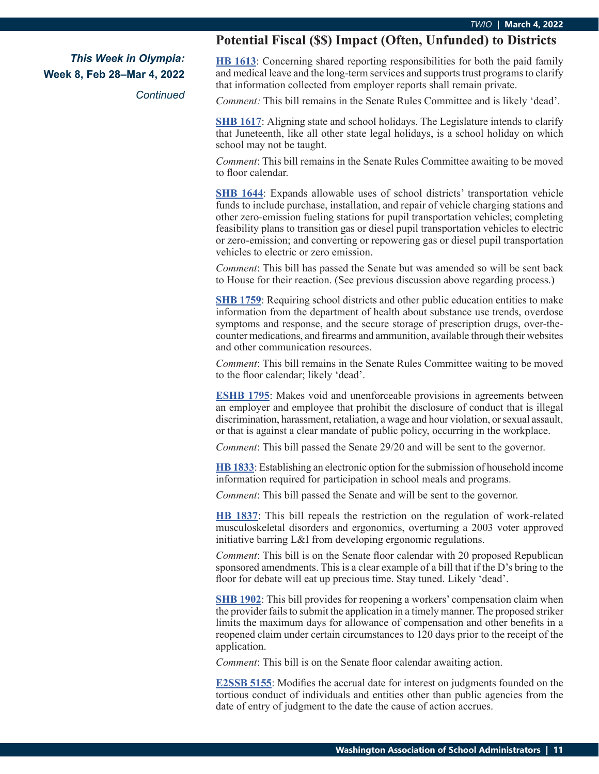*Continued*

### **Potential Fiscal (\$\$) Impact (Often, Unfunded) to Districts**

**[HB 1613](https://app.leg.wa.gov/billsummary?BillNumber=1613&Initiative=false&Year=2021)**: Concerning shared reporting responsibilities for both the paid family and medical leave and the long-term services and supports trust programs to clarify that information collected from employer reports shall remain private.

*Comment:* This bill remains in the Senate Rules Committee and is likely 'dead'.

**S[HB 1617](https://app.leg.wa.gov/billsummary?BillNumber=1617&Initiative=false&Year=2021)**: Aligning state and school holidays. The Legislature intends to clarify that Juneteenth, like all other state legal holidays, is a school holiday on which school may not be taught.

*Comment*: This bill remains in the Senate Rules Committee awaiting to be moved to floor calendar.

**[SHB 1644](https://app.leg.wa.gov/billsummary?BillNumber=1644&Initiative=false&Year=2021)**: Expands allowable uses of school districts' transportation vehicle funds to include purchase, installation, and repair of vehicle charging stations and other zero-emission fueling stations for pupil transportation vehicles; completing feasibility plans to transition gas or diesel pupil transportation vehicles to electric or zero-emission; and converting or repowering gas or diesel pupil transportation vehicles to electric or zero emission.

*Comment*: This bill has passed the Senate but was amended so will be sent back to House for their reaction. (See previous discussion above regarding process.)

**S[HB 1759](https://app.leg.wa.gov/billsummary?BillNumber=1759&Initiative=false&Year=2021)**: Requiring school districts and other public education entities to make information from the department of health about substance use trends, overdose symptoms and response, and the secure storage of prescription drugs, over-thecounter medications, and firearms and ammunition, available through their websites and other communication resources.

*Comment*: This bill remains in the Senate Rules Committee waiting to be moved to the floor calendar; likely 'dead'.

**[ESHB 1795](https://app.leg.wa.gov/billsummary?BillNumber=1795&Initiative=false&Year=2021)**: Makes void and unenforceable provisions in agreements between an employer and employee that prohibit the disclosure of conduct that is illegal discrimination, harassment, retaliation, a wage and hour violation, or sexual assault, or that is against a clear mandate of public policy, occurring in the workplace.

*Comment*: This bill passed the Senate 29/20 and will be sent to the governor.

**[HB 1833](https://app.leg.wa.gov/billsummary?BillNumber=1833&Initiative=false&Year=2021)**: Establishing an electronic option for the submission of household income information required for participation in school meals and programs.

*Comment*: This bill passed the Senate and will be sent to the governor.

**[HB 1837](https://app.leg.wa.gov/billsummary?BillNumber=1837&Initiative=false&Year=2021)**: This bill repeals the restriction on the regulation of work-related musculoskeletal disorders and ergonomics, overturning a 2003 voter approved initiative barring L&I from developing ergonomic regulations.

*Comment*: This bill is on the Senate floor calendar with 20 proposed Republican sponsored amendments. This is a clear example of a bill that if the D's bring to the floor for debate will eat up precious time. Stay tuned. Likely 'dead'.

**[SHB 1902](https://app.leg.wa.gov/billsummary?BillNumber=1902&Initiative=false&Year=2021)**: This bill provides for reopening a workers' compensation claim when the provider fails to submit the application in a timely manner. The proposed striker limits the maximum days for allowance of compensation and other benefits in a reopened claim under certain circumstances to 120 days prior to the receipt of the application.

*Comment*: This bill is on the Senate floor calendar awaiting action.

**[E2SSB 5155](https://app.leg.wa.gov/billsummary?BillNumber=5155&Initiative=false&Year=2021)**: Modifies the accrual date for interest on judgments founded on the tortious conduct of individuals and entities other than public agencies from the date of entry of judgment to the date the cause of action accrues.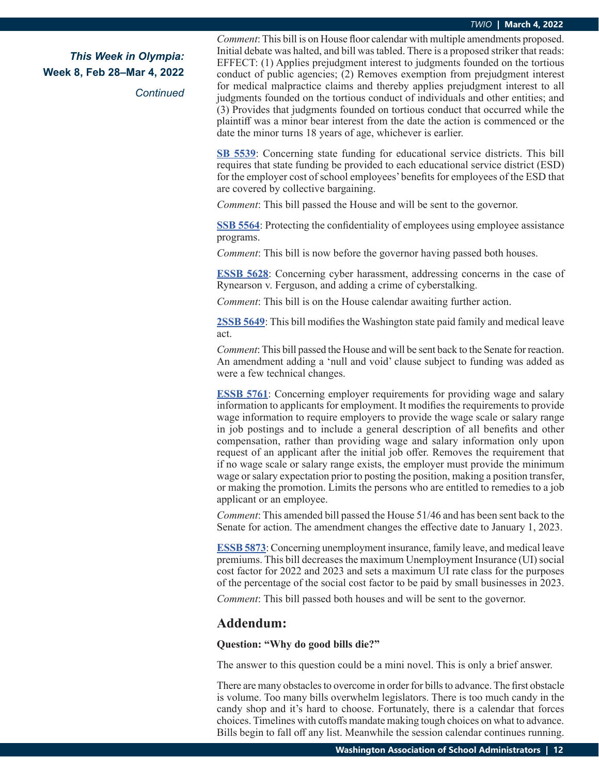#### *TWIO* **| March 4, 2022**

*This Week in Olympia:* **Week 8, Feb 28–Mar 4, 2022**

*Continued*

*Comment*: This bill is on House floor calendar with multiple amendments proposed. Initial debate was halted, and bill was tabled. There is a proposed striker that reads: EFFECT: (1) Applies prejudgment interest to judgments founded on the tortious conduct of public agencies; (2) Removes exemption from prejudgment interest for medical malpractice claims and thereby applies prejudgment interest to all judgments founded on the tortious conduct of individuals and other entities; and (3) Provides that judgments founded on tortious conduct that occurred while the plaintiff was a minor bear interest from the date the action is commenced or the date the minor turns 18 years of age, whichever is earlier.

**[SB 5539](https://app.leg.wa.gov/billsummary?BillNumber=5539&Initiative=false&Year=2021)**: Concerning state funding for educational service districts. This bill requires that state funding be provided to each educational service district (ESD) for the employer cost of school employees' benefits for employees of the ESD that are covered by collective bargaining.

*Comment*: This bill passed the House and will be sent to the governor.

**[SSB 5564](https://app.leg.wa.gov/billsummary?BillNumber=5564&Initiative=false&Year=2021)**: Protecting the confidentiality of employees using employee assistance programs.

*Comment*: This bill is now before the governor having passed both houses.

**[ESSB 5628](https://app.leg.wa.gov/billsummary?BillNumber=5628&Initiative=false&Year=2021)**: Concerning cyber harassment, addressing concerns in the case of Rynearson v. Ferguson, and adding a crime of cyberstalking.

*Comment*: This bill is on the House calendar awaiting further action.

**[2SSB 5649](https://app.leg.wa.gov/billsummary?BillNumber=5649&Initiative=false&Year=2021)**: This bill modifies the Washington state paid family and medical leave act.

*Comment*: This bill passed the House and will be sent back to the Senate for reaction. An amendment adding a 'null and void' clause subject to funding was added as were a few technical changes.

**[ESSB 5761](https://app.leg.wa.gov/billsummary?BillNumber=5761&Initiative=false&Year=2021)**: Concerning employer requirements for providing wage and salary information to applicants for employment. It modifies the requirements to provide wage information to require employers to provide the wage scale or salary range in job postings and to include a general description of all benefits and other compensation, rather than providing wage and salary information only upon request of an applicant after the initial job offer. Removes the requirement that if no wage scale or salary range exists, the employer must provide the minimum wage or salary expectation prior to posting the position, making a position transfer, or making the promotion. Limits the persons who are entitled to remedies to a job applicant or an employee.

*Comment*: This amended bill passed the House 51/46 and has been sent back to the Senate for action. The amendment changes the effective date to January 1, 2023.

**E[SSB 5873](https://app.leg.wa.gov/billsummary?BillNumber=5873&Initiative=false&Year=2021)**: Concerning unemployment insurance, family leave, and medical leave premiums. This bill decreases the maximum Unemployment Insurance (UI) social cost factor for 2022 and 2023 and sets a maximum UI rate class for the purposes of the percentage of the social cost factor to be paid by small businesses in 2023.

*Comment*: This bill passed both houses and will be sent to the governor.

### **Addendum:**

#### **Question: "Why do good bills die?"**

The answer to this question could be a mini novel. This is only a brief answer.

There are many obstacles to overcome in order for bills to advance. The first obstacle is volume. Too many bills overwhelm legislators. There is too much candy in the candy shop and it's hard to choose. Fortunately, there is a calendar that forces choices. Timelines with cutoffs mandate making tough choices on what to advance. Bills begin to fall off any list. Meanwhile the session calendar continues running.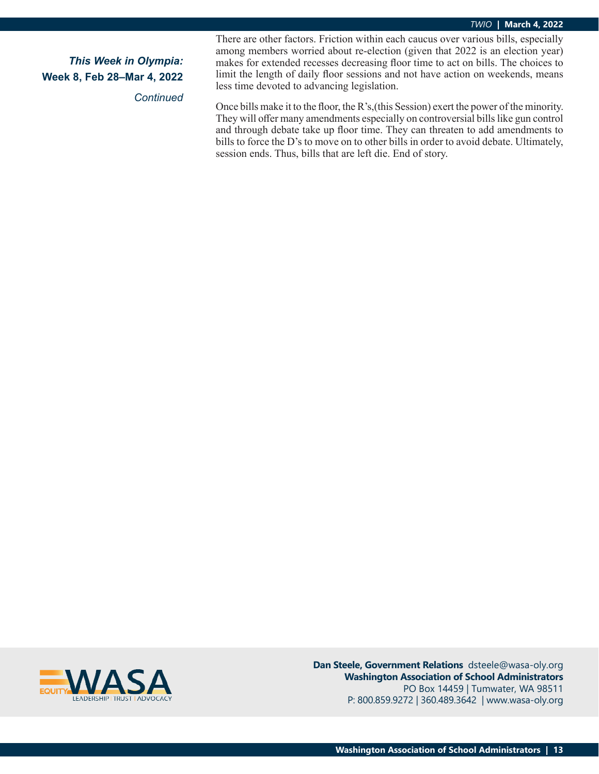#### *TWIO* **| March 4, 2022**

# *This Week in Olympia:* **Week 8, Feb 28–Mar 4, 2022**

*Continued*

There are other factors. Friction within each caucus over various bills, especially among members worried about re-election (given that 2022 is an election year) makes for extended recesses decreasing floor time to act on bills. The choices to limit the length of daily floor sessions and not have action on weekends, means less time devoted to advancing legislation.

Once bills make it to the floor, the R's,(this Session) exert the power of the minority. They will offer many amendments especially on controversial bills like gun control and through debate take up floor time. They can threaten to add amendments to bills to force the D's to move on to other bills in order to avoid debate. Ultimately, session ends. Thus, bills that are left die. End of story.



**Dan Steele, Government Relations** dsteele@wasa-oly.org **Washington Association of School Administrators** PO Box 14459 | Tumwater, WA 98511 P: 800.859.9272 | 360.489.3642 | www.wasa-oly.org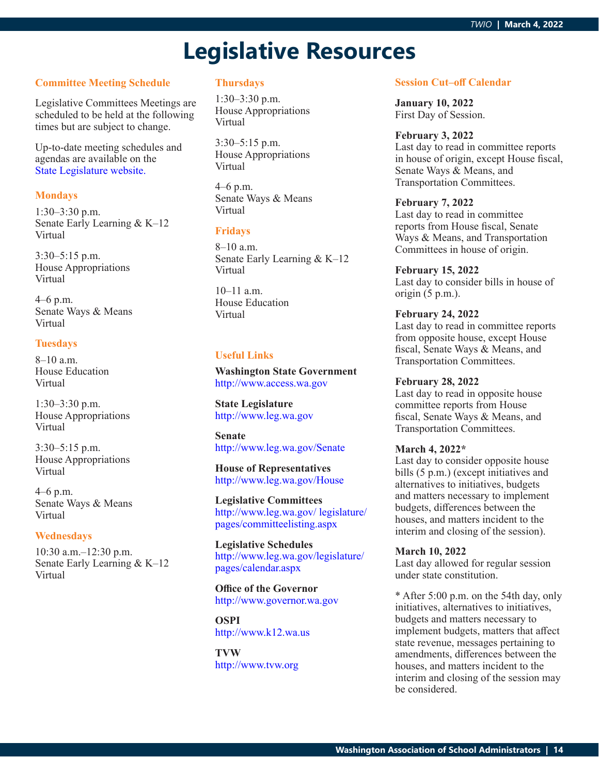# **Legislative Resources**

### **Committee Meeting Schedule**

Legislative Committees Meetings are scheduled to be held at the following times but are subject to change.

Up-to-date meeting schedules and agendas are available on the [State Legislature website](http://www.leg.wa.gov/legislature/pages/calendar.aspx).

#### **Mondays**

1:30–3:30 p.m. Senate Early Learning & K–12 Virtual

3:30–5:15 p.m. House Appropriations Virtual

4–6 p.m. Senate Ways & Means Virtual

#### **Tuesdays**

8–10 a.m. House Education Virtual

1:30–3:30 p.m. House Appropriations Virtual

3:30–5:15 p.m. House Appropriations Virtual

4–6 p.m. Senate Ways & Means Virtual

#### **Wednesdays**

10:30 a.m.–12:30 p.m. Senate Early Learning & K–12 Virtual

#### **Thursdays**

1:30–3:30 p.m. House Appropriations Virtual

3:30–5:15 p.m. House Appropriations Virtual

4–6 p.m. Senate Ways & Means Virtual

#### **Fridays**

8–10 a.m. Senate Early Learning & K–12 Virtual

10–11 a.m. House Education Virtual

#### **Useful Links**

**Washington State Government** <http://www.access.wa.gov>

**State Legislature** <http://www.leg.wa.gov>

**Senate** <http://www.leg.wa.gov/Senate>

**House of Representatives** <http://www.leg.wa.gov/House>

**Legislative Committees** [http://www.leg.wa.gov/ legislature/](http://www.leg.wa.gov/ legislature/pages/committeelisting.aspx) [pages/committeelisting.aspx](http://www.leg.wa.gov/ legislature/pages/committeelisting.aspx)

**Legislative Schedules** [http://www.leg.wa.gov/legislature/](http://www.leg.wa.gov/legislature/pages/calendar.aspx) [pages/calendar.aspx](http://www.leg.wa.gov/legislature/pages/calendar.aspx)

**Office of the Governor** <http://www.governor.wa.gov>

**OSPI** <http://www.k12.wa.us>

**TVW** <http://www.tvw.org>

#### **Session Cut–off Calendar**

**January 10, 2022** First Day of Session.

#### **February 3, 2022**

Last day to read in committee reports in house of origin, except House fiscal, Senate Ways & Means, and Transportation Committees.

#### **February 7, 2022**

Last day to read in committee reports from House fiscal, Senate Ways & Means, and Transportation Committees in house of origin.

### **February 15, 2022**

Last day to consider bills in house of origin (5 p.m.).

#### **February 24, 2022**

Last day to read in committee reports from opposite house, except House fiscal, Senate Ways & Means, and Transportation Committees.

#### **February 28, 2022**

Last day to read in opposite house committee reports from House fiscal, Senate Ways & Means, and Transportation Committees.

#### **March 4, 2022\***

Last day to consider opposite house bills (5 p.m.) (except initiatives and alternatives to initiatives, budgets and matters necessary to implement budgets, differences between the houses, and matters incident to the interim and closing of the session).

#### **March 10, 2022**

Last day allowed for regular session under state constitution.

\* After 5:00 p.m. on the 54th day, only initiatives, alternatives to initiatives, budgets and matters necessary to implement budgets, matters that affect state revenue, messages pertaining to amendments, differences between the houses, and matters incident to the interim and closing of the session may be considered.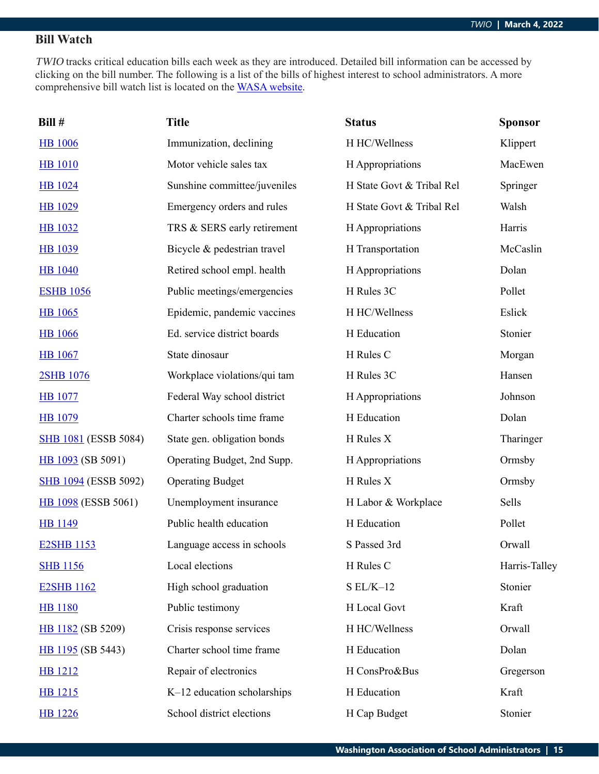# **Bill Watch**

TWIO tracks critical education bills each week as they are introduced. Detailed bill information can be accessed by clicking on the bill number. The following is a list of the bills of highest interest to school administrators. A more comprehensive bill watch list is located on the [WASA website](http://wasa-oly.org/wasa/WASA/Government_Relations/Action_Center/2019_WASA_Bill_Watch/WASA/4_0_Government_Relations/Materials/Bill_Watch/Bill_Watch.aspx?hkey=eee1bb39-a099-43b7-8a1b-1262f2966f1a).

| Bill #                      | <b>Title</b>                 | <b>Status</b>             | <b>Sponsor</b> |
|-----------------------------|------------------------------|---------------------------|----------------|
| <b>HB</b> 1006              | Immunization, declining      | H HC/Wellness             | Klippert       |
| <b>HB</b> 1010              | Motor vehicle sales tax      | H Appropriations          | MacEwen        |
| <b>HB</b> 1024              | Sunshine committee/juveniles | H State Govt & Tribal Rel | Springer       |
| HB 1029                     | Emergency orders and rules   | H State Govt & Tribal Rel | Walsh          |
| <b>HB</b> 1032              | TRS & SERS early retirement  | H Appropriations          | Harris         |
| <b>HB</b> 1039              | Bicycle & pedestrian travel  | H Transportation          | McCaslin       |
| <b>HB</b> 1040              | Retired school empl. health  | H Appropriations          | Dolan          |
| <b>ESHB 1056</b>            | Public meetings/emergencies  | H Rules 3C                | Pollet         |
| <b>HB</b> 1065              | Epidemic, pandemic vaccines  | H HC/Wellness             | Eslick         |
| <b>HB</b> 1066              | Ed. service district boards  | H Education               | Stonier        |
| <b>HB</b> 1067              | State dinosaur               | H Rules C                 | Morgan         |
| 2SHB 1076                   | Workplace violations/qui tam | H Rules 3C                | Hansen         |
| <b>HB</b> 1077              | Federal Way school district  | H Appropriations          | Johnson        |
| <b>HB</b> 1079              | Charter schools time frame   | H Education               | Dolan          |
| <b>SHB 1081</b> (ESSB 5084) | State gen. obligation bonds  | H Rules X                 | Tharinger      |
| HB 1093 (SB 5091)           | Operating Budget, 2nd Supp.  | H Appropriations          | Ormsby         |
| <b>SHB 1094 (ESSB 5092)</b> | <b>Operating Budget</b>      | H Rules X                 | Ormsby         |
| HB 1098 (ESSB 5061)         | Unemployment insurance       | H Labor & Workplace       | Sells          |
| <b>HB</b> 1149              | Public health education      | H Education               | Pollet         |
| <b>E2SHB 1153</b>           | Language access in schools   | S Passed 3rd              | Orwall         |
| <b>SHB 1156</b>             | Local elections              | H Rules C                 | Harris-Talley  |
| <b>E2SHB 1162</b>           | High school graduation       | $S EL/K-12$               | Stonier        |
| <b>HB</b> 1180              | Public testimony             | H Local Govt              | Kraft          |
| HB 1182 (SB 5209)           | Crisis response services     | H HC/Wellness             | Orwall         |
| HB 1195 (SB 5443)           | Charter school time frame    | H Education               | Dolan          |
| <b>HB</b> 1212              | Repair of electronics        | H ConsPro&Bus             | Gregerson      |
| HB 1215                     | K-12 education scholarships  | H Education               | Kraft          |
| <b>HB</b> 1226              | School district elections    | H Cap Budget              | Stonier        |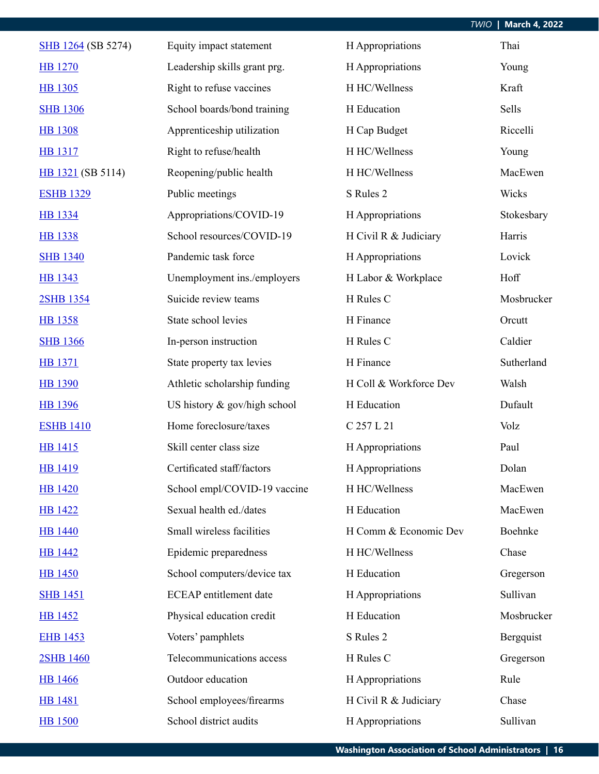|                    |                               |                        | <b>March 4, 2022</b><br><b>TWIO</b> |
|--------------------|-------------------------------|------------------------|-------------------------------------|
| SHB 1264 (SB 5274) | Equity impact statement       | H Appropriations       | Thai                                |
| <b>HB</b> 1270     | Leadership skills grant prg.  | H Appropriations       | Young                               |
| <b>HB</b> 1305     | Right to refuse vaccines      | H HC/Wellness          | Kraft                               |
| <b>SHB 1306</b>    | School boards/bond training   | H Education            | Sells                               |
| <b>HB 1308</b>     | Apprenticeship utilization    | H Cap Budget           | Riccelli                            |
| <b>HB</b> 1317     | Right to refuse/health        | H HC/Wellness          | Young                               |
| HB 1321 (SB 5114)  | Reopening/public health       | H HC/Wellness          | MacEwen                             |
| <b>ESHB 1329</b>   | Public meetings               | S Rules 2              | Wicks                               |
| <b>HB</b> 1334     | Appropriations/COVID-19       | H Appropriations       | Stokesbary                          |
| <b>HB</b> 1338     | School resources/COVID-19     | H Civil R & Judiciary  | Harris                              |
| <b>SHB 1340</b>    | Pandemic task force           | H Appropriations       | Lovick                              |
| <b>HB 1343</b>     | Unemployment ins./employers   | H Labor & Workplace    | Hoff                                |
| 2SHB 1354          | Suicide review teams          | H Rules C              | Mosbrucker                          |
| HB 1358            | State school levies           | H Finance              | Orcutt                              |
| <b>SHB 1366</b>    | In-person instruction         | H Rules C              | Caldier                             |
| <b>HB</b> 1371     | State property tax levies     | H Finance              | Sutherland                          |
| <b>HB 1390</b>     | Athletic scholarship funding  | H Coll & Workforce Dev | Walsh                               |
| <b>HB</b> 1396     | US history & gov/high school  | H Education            | Dufault                             |
| <b>ESHB 1410</b>   | Home foreclosure/taxes        | C 257 L 21             | Volz                                |
| HB 1415            | Skill center class size       | H Appropriations       | Paul                                |
| <b>HB</b> 1419     | Certificated staff/factors    | H Appropriations       | Dolan                               |
| <b>HB 1420</b>     | School empl/COVID-19 vaccine  | H HC/Wellness          | MacEwen                             |
| <b>HB</b> 1422     | Sexual health ed./dates       | H Education            | MacEwen                             |
| <b>HB</b> 1440     | Small wireless facilities     | H Comm & Economic Dev  | Boehnke                             |
| <b>HB</b> 1442     | Epidemic preparedness         | H HC/Wellness          | Chase                               |
| <b>HB</b> 1450     | School computers/device tax   | H Education            | Gregerson                           |
| <b>SHB 1451</b>    | <b>ECEAP</b> entitlement date | H Appropriations       | Sullivan                            |
| <b>HB</b> 1452     | Physical education credit     | H Education            | Mosbrucker                          |
| <b>EHB 1453</b>    | Voters' pamphlets             | S Rules 2              | Bergquist                           |
| 2SHB 1460          | Telecommunications access     | H Rules C              | Gregerson                           |
| <b>HB</b> 1466     | Outdoor education             | H Appropriations       | Rule                                |
| <b>HB</b> 1481     | School employees/firearms     | H Civil R & Judiciary  | Chase                               |
| <b>HB</b> 1500     | School district audits        | H Appropriations       | Sullivan                            |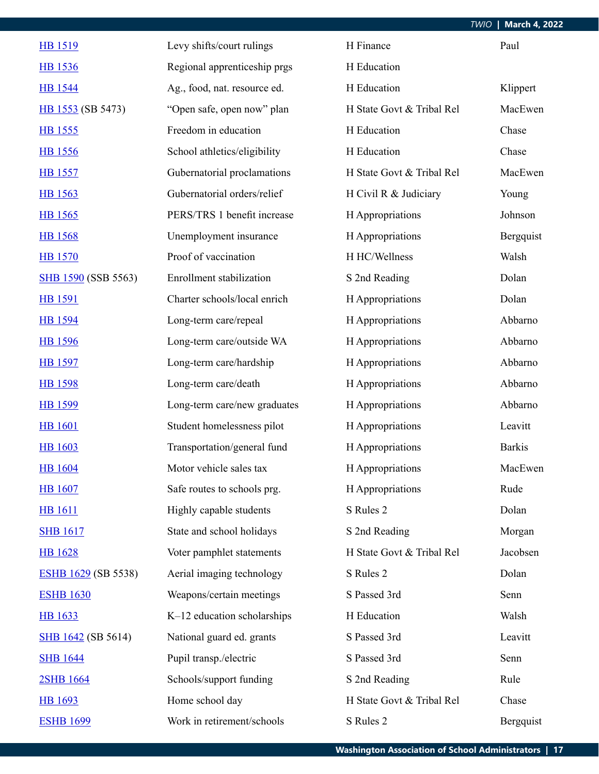|                            |                              |                           | <b>March 4, 2022</b><br><b>TWIO</b> |
|----------------------------|------------------------------|---------------------------|-------------------------------------|
| <b>HB</b> 1519             | Levy shifts/court rulings    | H Finance                 | Paul                                |
| <b>HB</b> 1536             | Regional apprenticeship prgs | H Education               |                                     |
| <b>HB</b> 1544             | Ag., food, nat. resource ed. | H Education               | Klippert                            |
| HB 1553 (SB 5473)          | "Open safe, open now" plan   | H State Govt & Tribal Rel | MacEwen                             |
| HB 1555                    | Freedom in education         | H Education               | Chase                               |
| <b>HB</b> 1556             | School athletics/eligibility | H Education               | Chase                               |
| <b>HB</b> 1557             | Gubernatorial proclamations  | H State Govt & Tribal Rel | MacEwen                             |
| <b>HB</b> 1563             | Gubernatorial orders/relief  | H Civil R & Judiciary     | Young                               |
| HB 1565                    | PERS/TRS 1 benefit increase  | H Appropriations          | Johnson                             |
| <b>HB</b> 1568             | Unemployment insurance       | H Appropriations          | Bergquist                           |
| <b>HB</b> 1570             | Proof of vaccination         | H HC/Wellness             | Walsh                               |
| <b>SHB 1590 (SSB 5563)</b> | Enrollment stabilization     | S 2nd Reading             | Dolan                               |
| <b>HB</b> 1591             | Charter schools/local enrich | H Appropriations          | Dolan                               |
| HB 1594                    | Long-term care/repeal        | H Appropriations          | Abbarno                             |
| <b>HB</b> 1596             | Long-term care/outside WA    | H Appropriations          | Abbarno                             |
| <b>HB</b> 1597             | Long-term care/hardship      | H Appropriations          | Abbarno                             |
| <b>HB</b> 1598             | Long-term care/death         | H Appropriations          | Abbarno                             |
| <b>HB</b> 1599             | Long-term care/new graduates | H Appropriations          | Abbarno                             |
| <b>HB</b> 1601             | Student homelessness pilot   | H Appropriations          | Leavitt                             |
| <b>HB</b> 1603             | Transportation/general fund  | H Appropriations          | <b>Barkis</b>                       |
| <b>HB</b> 1604             | Motor vehicle sales tax      | H Appropriations          | MacEwen                             |
| <b>HB</b> 1607             | Safe routes to schools prg.  | H Appropriations          | Rude                                |
| <b>HB</b> 1611             | Highly capable students      | S Rules 2                 | Dolan                               |
| <b>SHB 1617</b>            | State and school holidays    | S 2nd Reading             | Morgan                              |
| <b>HB</b> 1628             | Voter pamphlet statements    | H State Govt & Tribal Rel | Jacobsen                            |
| ESHB 1629 (SB 5538)        | Aerial imaging technology    | S Rules 2                 | Dolan                               |
| <b>ESHB 1630</b>           | Weapons/certain meetings     | S Passed 3rd              | Senn                                |
| <b>HB</b> 1633             | K-12 education scholarships  | H Education               | Walsh                               |
| <b>SHB</b> 1642 (SB 5614)  | National guard ed. grants    | S Passed 3rd              | Leavitt                             |
| <b>SHB</b> 1644            | Pupil transp./electric       | S Passed 3rd              | Senn                                |
| 2SHB 1664                  | Schools/support funding      | S 2nd Reading             | Rule                                |
| <b>HB</b> 1693             | Home school day              | H State Govt & Tribal Rel | Chase                               |
| <b>ESHB 1699</b>           | Work in retirement/schools   | S Rules 2                 | Bergquist                           |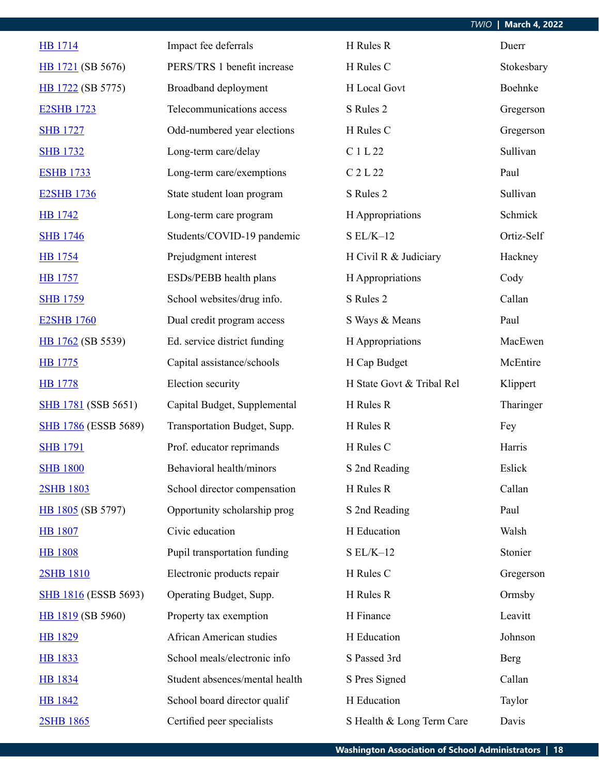|                             |                                |                           | <b>March 4, 2022</b><br><b>TWIO</b> |
|-----------------------------|--------------------------------|---------------------------|-------------------------------------|
| <b>HB</b> 1714              | Impact fee deferrals           | H Rules R                 | Duerr                               |
| HB 1721 (SB 5676)           | PERS/TRS 1 benefit increase    | H Rules C                 | Stokesbary                          |
| HB 1722 (SB 5775)           | Broadband deployment           | H Local Govt              | Boehnke                             |
| <b>E2SHB 1723</b>           | Telecommunications access      | S Rules 2                 | Gregerson                           |
| <b>SHB 1727</b>             | Odd-numbered year elections    | H Rules C                 | Gregerson                           |
| <b>SHB 1732</b>             | Long-term care/delay           | C 1 L 22                  | Sullivan                            |
| <b>ESHB 1733</b>            | Long-term care/exemptions      | C 2 L 22                  | Paul                                |
| <b>E2SHB 1736</b>           | State student loan program     | S Rules 2                 | Sullivan                            |
| <b>HB</b> 1742              | Long-term care program         | H Appropriations          | Schmick                             |
| <b>SHB 1746</b>             | Students/COVID-19 pandemic     | $SL/K-12$                 | Ortiz-Self                          |
| <b>HB</b> 1754              | Prejudgment interest           | H Civil R & Judiciary     | Hackney                             |
| <b>HB</b> 1757              | ESDs/PEBB health plans         | H Appropriations          | Cody                                |
| <b>SHB 1759</b>             | School websites/drug info.     | S Rules 2                 | Callan                              |
| <b>E2SHB 1760</b>           | Dual credit program access     | S Ways & Means            | Paul                                |
| HB 1762 (SB 5539)           | Ed. service district funding   | H Appropriations          | MacEwen                             |
| <b>HB</b> 1775              | Capital assistance/schools     | H Cap Budget              | McEntire                            |
| <b>HB</b> 1778              | Election security              | H State Govt & Tribal Rel | Klippert                            |
| <b>SHB</b> 1781 (SSB 5651)  | Capital Budget, Supplemental   | H Rules R                 | Tharinger                           |
| <b>SHB 1786 (ESSB 5689)</b> | Transportation Budget, Supp.   | H Rules R                 | Fey                                 |
| <b>SHB</b> 1791             | Prof. educator reprimands      | H Rules C                 | Harris                              |
| <b>SHB 1800</b>             | Behavioral health/minors       | S 2nd Reading             | Eslick                              |
| 2SHB 1803                   | School director compensation   | H Rules R                 | Callan                              |
| HB 1805 (SB 5797)           | Opportunity scholarship prog   | S 2nd Reading             | Paul                                |
| <b>HB</b> 1807              | Civic education                | H Education               | Walsh                               |
| <b>HB</b> 1808              | Pupil transportation funding   | $S EL/K-12$               | Stonier                             |
| <b>2SHB 1810</b>            | Electronic products repair     | H Rules C                 | Gregerson                           |
| <b>SHB 1816 (ESSB 5693)</b> | Operating Budget, Supp.        | H Rules R                 | Ormsby                              |
| HB 1819 (SB 5960)           | Property tax exemption         | H Finance                 | Leavitt                             |
| <b>HB 1829</b>              | African American studies       | H Education               | Johnson                             |
| HB 1833                     | School meals/electronic info   | S Passed 3rd              | <b>Berg</b>                         |
| <b>HB</b> 1834              | Student absences/mental health | S Pres Signed             | Callan                              |
| <b>HB 1842</b>              | School board director qualif   | H Education               | Taylor                              |
| 2SHB 1865                   | Certified peer specialists     | S Health & Long Term Care | Davis                               |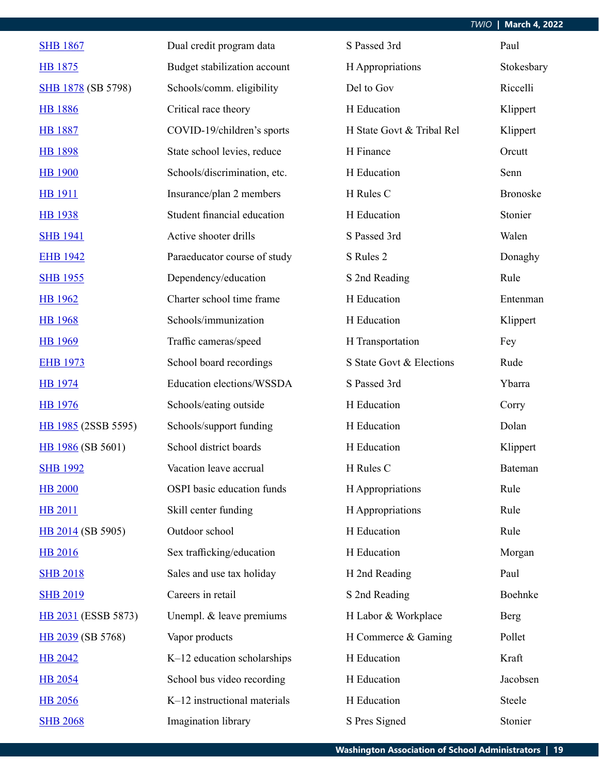| <b>SHB 1867</b>           | Dual credit program data     | S Passed 3rd              | Paul            |
|---------------------------|------------------------------|---------------------------|-----------------|
| HB 1875                   | Budget stabilization account | H Appropriations          | Stokesbary      |
| <b>SHB 1878</b> (SB 5798) | Schools/comm. eligibility    | Del to Gov                | Riccelli        |
| <b>HB 1886</b>            | Critical race theory         | H Education               | Klippert        |
| <b>HB 1887</b>            | COVID-19/children's sports   | H State Govt & Tribal Rel | Klippert        |
| <b>HB 1898</b>            | State school levies, reduce  | H Finance                 | Orcutt          |
| <b>HB</b> 1900            | Schools/discrimination, etc. | H Education               | Senn            |
| <b>HB</b> 1911            | Insurance/plan 2 members     | H Rules C                 | <b>Bronoske</b> |
| <b>HB</b> 1938            | Student financial education  | H Education               | Stonier         |
| <b>SHB 1941</b>           | Active shooter drills        | S Passed 3rd              | Walen           |
| <b>EHB 1942</b>           | Paraeducator course of study | S Rules 2                 | Donaghy         |
| <b>SHB 1955</b>           | Dependency/education         | S 2nd Reading             | Rule            |
| <b>HB</b> 1962            | Charter school time frame    | H Education               | Entenman        |
| <b>HB</b> 1968            | Schools/immunization         | H Education               | Klippert        |
| <b>HB</b> 1969            | Traffic cameras/speed        | H Transportation          | Fey             |
| <b>EHB 1973</b>           | School board recordings      | S State Govt & Elections  | Rude            |
| <b>HB</b> 1974            | Education elections/WSSDA    | S Passed 3rd              | Ybarra          |
| <b>HB</b> 1976            | Schools/eating outside       | H Education               | Corry           |
| HB 1985 (2SSB 5595)       | Schools/support funding      | H Education               | Dolan           |
| HB 1986 (SB 5601)         | School district boards       | H Education               | Klippert        |
| <b>SHB 1992</b>           | Vacation leave accrual       | H Rules C                 | Bateman         |
| <b>HB 2000</b>            | OSPI basic education funds   | H Appropriations          | Rule            |
| <b>HB 2011</b>            | Skill center funding         | H Appropriations          | Rule            |
| HB 2014 (SB 5905)         | Outdoor school               | H Education               | Rule            |
| <b>HB 2016</b>            | Sex trafficking/education    | H Education               | Morgan          |
| <b>SHB 2018</b>           | Sales and use tax holiday    | H 2nd Reading             | Paul            |
| <b>SHB 2019</b>           | Careers in retail            | S 2nd Reading             | Boehnke         |
| HB 2031 (ESSB 5873)       | Unempl. & leave premiums     | H Labor & Workplace       | Berg            |
| HB 2039 (SB 5768)         | Vapor products               | H Commerce & Gaming       | Pollet          |
| <b>HB 2042</b>            | K-12 education scholarships  | H Education               | Kraft           |
| <b>HB</b> 2054            | School bus video recording   | H Education               | Jacobsen        |
| <b>HB 2056</b>            | K-12 instructional materials | H Education               | Steele          |
| <b>SHB 2068</b>           | Imagination library          | S Pres Signed             | Stonier         |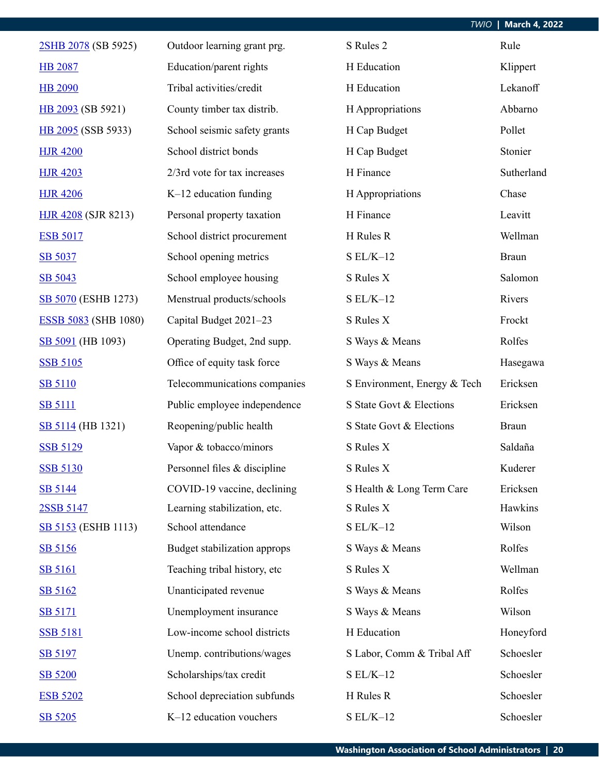| 2SHB 2078 (SB 5925)         | Outdoor learning grant prg.  | S Rules 2                    | Rule         |
|-----------------------------|------------------------------|------------------------------|--------------|
| <b>HB 2087</b>              | Education/parent rights      | H Education                  | Klippert     |
| <b>HB 2090</b>              | Tribal activities/credit     | H Education                  | Lekanoff     |
| HB 2093 (SB 5921)           | County timber tax distrib.   | H Appropriations             | Abbarno      |
| HB 2095 (SSB 5933)          | School seismic safety grants | H Cap Budget                 | Pollet       |
| <b>HJR 4200</b>             | School district bonds        | H Cap Budget                 | Stonier      |
| <b>HJR 4203</b>             | 2/3rd vote for tax increases | H Finance                    | Sutherland   |
| <b>HJR 4206</b>             | K-12 education funding       | H Appropriations             | Chase        |
| <b>HJR 4208 (SJR 8213)</b>  | Personal property taxation   | H Finance                    | Leavitt      |
| <b>ESB 5017</b>             | School district procurement  | H Rules R                    | Wellman      |
| SB 5037                     | School opening metrics       | $SL/K-12$                    | <b>Braun</b> |
| SB 5043                     | School employee housing      | S Rules X                    | Salomon      |
| SB 5070 (ESHB 1273)         | Menstrual products/schools   | $SL/K-12$                    | Rivers       |
| <b>ESSB 5083 (SHB 1080)</b> | Capital Budget 2021-23       | S Rules X                    | Frockt       |
| SB 5091 (HB 1093)           | Operating Budget, 2nd supp.  | S Ways & Means               | Rolfes       |
| <b>SSB 5105</b>             | Office of equity task force  | S Ways & Means               | Hasegawa     |
| <b>SB 5110</b>              | Telecommunications companies | S Environment, Energy & Tech | Ericksen     |
| <b>SB 5111</b>              | Public employee independence | S State Govt & Elections     | Ericksen     |
| SB 5114 (HB 1321)           | Reopening/public health      | S State Govt & Elections     | <b>Braun</b> |
| <b>SSB 5129</b>             | Vapor & tobacco/minors       | S Rules X                    | Saldaña      |
| <b>SSB 5130</b>             | Personnel files & discipline | S Rules X                    | Kuderer      |
| SB 5144                     | COVID-19 vaccine, declining  | S Health & Long Term Care    | Ericksen     |
| 2SSB 5147                   | Learning stabilization, etc. | S Rules X                    | Hawkins      |
| <b>SB 5153</b> (ESHB 1113)  | School attendance            | $SL/K-12$                    | Wilson       |
| SB 5156                     | Budget stabilization approps | S Ways & Means               | Rolfes       |
| <b>SB 5161</b>              | Teaching tribal history, etc | S Rules X                    | Wellman      |
| SB 5162                     | Unanticipated revenue        | S Ways & Means               | Rolfes       |
| <b>SB 5171</b>              | Unemployment insurance       | S Ways & Means               | Wilson       |
| <b>SSB 5181</b>             | Low-income school districts  | H Education                  | Honeyford    |
| SB 5197                     | Unemp. contributions/wages   | S Labor, Comm & Tribal Aff   | Schoesler    |
| SB 5200                     | Scholarships/tax credit      | $SL/K-12$                    | Schoesler    |
| <b>ESB 5202</b>             | School depreciation subfunds | H Rules R                    | Schoesler    |
| SB 5205                     | K-12 education vouchers      | $SL/K-12$                    | Schoesler    |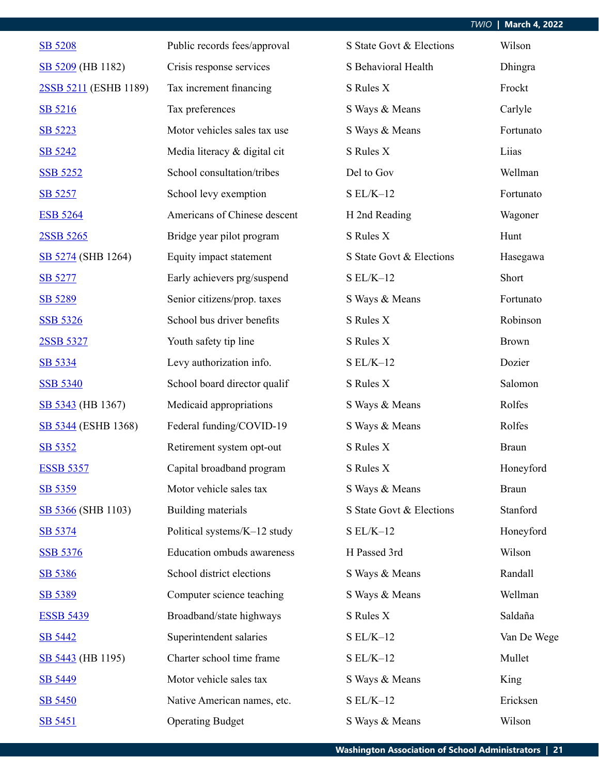| SB 5208               | Public records fees/approval | S State Govt & Elections | Wilson       |
|-----------------------|------------------------------|--------------------------|--------------|
| SB 5209 (HB 1182)     | Crisis response services     | S Behavioral Health      | Dhingra      |
| 2SSB 5211 (ESHB 1189) | Tax increment financing      | S Rules X                | Frockt       |
| SB 5216               | Tax preferences              | S Ways & Means           | Carlyle      |
| SB 5223               | Motor vehicles sales tax use | S Ways & Means           | Fortunato    |
| SB 5242               | Media literacy & digital cit | S Rules X                | Liias        |
| <b>SSB 5252</b>       | School consultation/tribes   | Del to Gov               | Wellman      |
| SB 5257               | School levy exemption        | $S EL/K-12$              | Fortunato    |
| <b>ESB 5264</b>       | Americans of Chinese descent | H 2nd Reading            | Wagoner      |
| 2SSB 5265             | Bridge year pilot program    | S Rules X                | Hunt         |
| SB 5274 (SHB 1264)    | Equity impact statement      | S State Govt & Elections | Hasegawa     |
| SB 5277               | Early achievers prg/suspend  | $S EL/K-12$              | Short        |
| SB 5289               | Senior citizens/prop. taxes  | S Ways & Means           | Fortunato    |
| <b>SSB 5326</b>       | School bus driver benefits   | S Rules X                | Robinson     |
| 2SSB 5327             | Youth safety tip line        | S Rules X                | <b>Brown</b> |
| SB 5334               | Levy authorization info.     | $SL/K-12$                | Dozier       |
| <b>SSB 5340</b>       | School board director qualif | S Rules X                | Salomon      |
| SB 5343 (HB 1367)     | Medicaid appropriations      | S Ways & Means           | Rolfes       |
| SB 5344 (ESHB 1368)   | Federal funding/COVID-19     | S Ways & Means           | Rolfes       |
| SB 5352               | Retirement system opt-out    | S Rules X                | <b>Braun</b> |
| <b>ESSB 5357</b>      | Capital broadband program    | S Rules X                | Honeyford    |
| SB 5359               | Motor vehicle sales tax      | S Ways & Means           | <b>Braun</b> |
| SB 5366 (SHB 1103)    | Building materials           | S State Govt & Elections | Stanford     |
| SB 5374               | Political systems/K-12 study | $SL/K-12$                | Honeyford    |
| <b>SSB 5376</b>       | Education ombuds awareness   | H Passed 3rd             | Wilson       |
| SB 5386               | School district elections    | S Ways & Means           | Randall      |
| SB 5389               | Computer science teaching    | S Ways & Means           | Wellman      |
| <b>ESSB 5439</b>      | Broadband/state highways     | S Rules X                | Saldaña      |
| SB 5442               | Superintendent salaries      | $SL/K-12$                | Van De Wege  |
| SB 5443 (HB 1195)     | Charter school time frame    | $SL/K-12$                | Mullet       |
| SB 5449               | Motor vehicle sales tax      | S Ways & Means           | King         |
| SB 5450               | Native American names, etc.  | $SL/K-12$                | Ericksen     |
| SB 5451               | <b>Operating Budget</b>      | S Ways & Means           | Wilson       |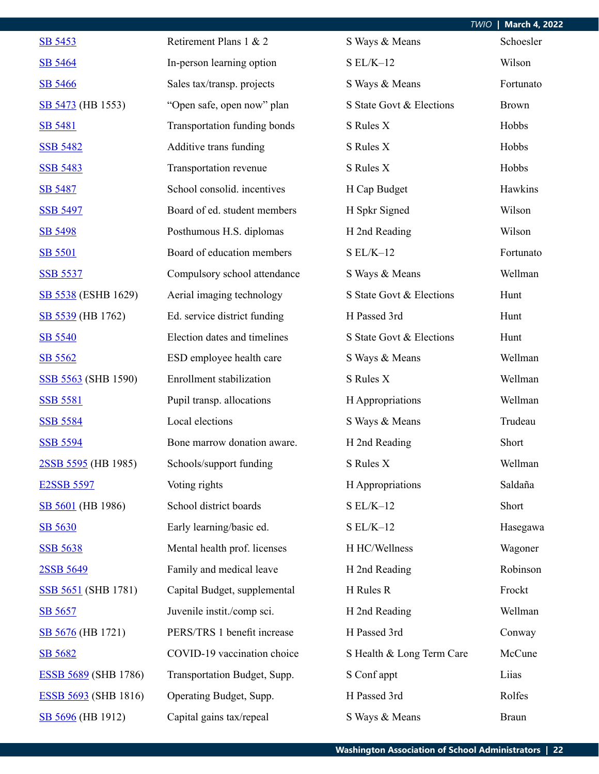|                             |                              |                           | <b>March 4, 2022</b><br><b>TWIO</b> |
|-----------------------------|------------------------------|---------------------------|-------------------------------------|
| SB 5453                     | Retirement Plans 1 & 2       | S Ways & Means            | Schoesler                           |
| SB 5464                     | In-person learning option    | $SL/K-12$                 | Wilson                              |
| SB 5466                     | Sales tax/transp. projects   | S Ways & Means            | Fortunato                           |
| SB 5473 (HB 1553)           | "Open safe, open now" plan   | S State Govt & Elections  | <b>Brown</b>                        |
| SB 5481                     | Transportation funding bonds | S Rules X                 | Hobbs                               |
| <b>SSB 5482</b>             | Additive trans funding       | S Rules X                 | Hobbs                               |
| <b>SSB 5483</b>             | Transportation revenue       | S Rules X                 | Hobbs                               |
| <b>SB 5487</b>              | School consolid. incentives  | H Cap Budget              | Hawkins                             |
| <b>SSB 5497</b>             | Board of ed. student members | H Spkr Signed             | Wilson                              |
| SB 5498                     | Posthumous H.S. diplomas     | H 2nd Reading             | Wilson                              |
| SB 5501                     | Board of education members   | $S EL/K-12$               | Fortunato                           |
| <b>SSB 5537</b>             | Compulsory school attendance | S Ways & Means            | Wellman                             |
| SB 5538 (ESHB 1629)         | Aerial imaging technology    | S State Govt & Elections  | Hunt                                |
| SB 5539 (HB 1762)           | Ed. service district funding | H Passed 3rd              | Hunt                                |
| SB 5540                     | Election dates and timelines | S State Govt & Elections  | Hunt                                |
| SB 5562                     | ESD employee health care     | S Ways & Means            | Wellman                             |
| SSB 5563 (SHB 1590)         | Enrollment stabilization     | S Rules X                 | Wellman                             |
| <b>SSB 5581</b>             | Pupil transp. allocations    | H Appropriations          | Wellman                             |
| <b>SSB 5584</b>             | Local elections              | S Ways & Means            | Trudeau                             |
| <b>SSB 5594</b>             | Bone marrow donation aware.  | H 2nd Reading             | Short                               |
| 2SSB 5595 (HB 1985)         | Schools/support funding      | S Rules X                 | Wellman                             |
| <b>E2SSB 5597</b>           | Voting rights                | H Appropriations          | Saldaña                             |
| SB 5601 (HB 1986)           | School district boards       | $S EL/K-12$               | Short                               |
| SB 5630                     | Early learning/basic ed.     | $S EL/K-12$               | Hasegawa                            |
| <b>SSB 5638</b>             | Mental health prof. licenses | H HC/Wellness             | Wagoner                             |
| 2SSB 5649                   | Family and medical leave     | H 2nd Reading             | Robinson                            |
| <b>SSB 5651 (SHB 1781)</b>  | Capital Budget, supplemental | H Rules R                 | Frockt                              |
| SB 5657                     | Juvenile instit./comp sci.   | H 2nd Reading             | Wellman                             |
| SB 5676 (HB 1721)           | PERS/TRS 1 benefit increase  | H Passed 3rd              | Conway                              |
| SB 5682                     | COVID-19 vaccination choice  | S Health & Long Term Care | McCune                              |
| <b>ESSB 5689</b> (SHB 1786) | Transportation Budget, Supp. | S Conf appt               | Liias                               |
| <b>ESSB 5693</b> (SHB 1816) | Operating Budget, Supp.      | H Passed 3rd              | Rolfes                              |
| SB 5696 (HB 1912)           | Capital gains tax/repeal     | S Ways & Means            | <b>Braun</b>                        |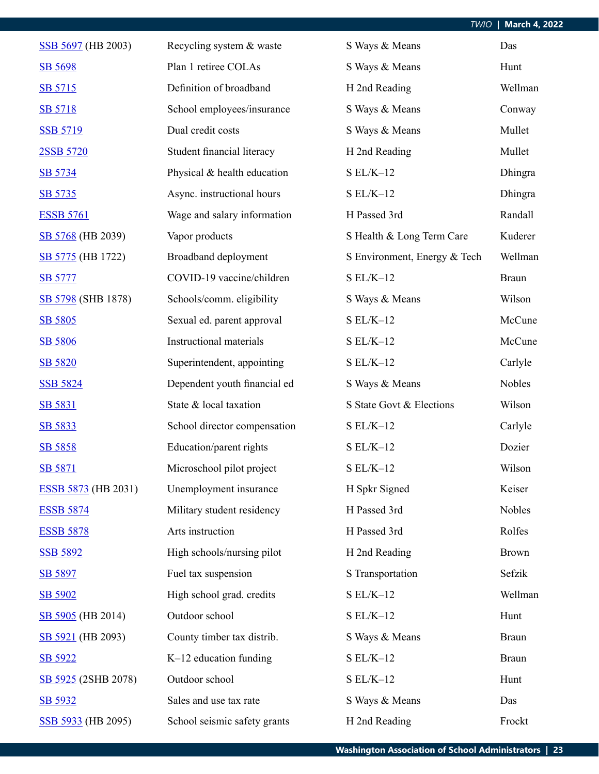| SSB 5697 (HB 2003)         | Recycling system & waste       | S Ways & Means               | Das          |
|----------------------------|--------------------------------|------------------------------|--------------|
| SB 5698                    | Plan 1 retiree COLAs           | S Ways & Means               | Hunt         |
| SB 5715                    | Definition of broadband        | H 2nd Reading                | Wellman      |
| SB 5718                    | School employees/insurance     | S Ways & Means               | Conway       |
| <b>SSB 5719</b>            | Dual credit costs              | S Ways & Means               | Mullet       |
| 2SSB 5720                  | Student financial literacy     | H 2nd Reading                | Mullet       |
| SB 5734                    | Physical & health education    | $S EL/K-12$                  | Dhingra      |
| SB 5735                    | Async. instructional hours     | $S EL/K-12$                  | Dhingra      |
| <b>ESSB 5761</b>           | Wage and salary information    | H Passed 3rd                 | Randall      |
| SB 5768 (HB 2039)          | Vapor products                 | S Health & Long Term Care    | Kuderer      |
| SB 5775 (HB 1722)          | Broadband deployment           | S Environment, Energy & Tech | Wellman      |
| <b>SB 5777</b>             | COVID-19 vaccine/children      | $SL/K-12$                    | <b>Braun</b> |
| SB 5798 (SHB 1878)         | Schools/comm. eligibility      | S Ways & Means               | Wilson       |
| SB 5805                    | Sexual ed. parent approval     | $S EL/K-12$                  | McCune       |
| SB 5806                    | <b>Instructional materials</b> | $S EL/K-12$                  | McCune       |
| SB 5820                    | Superintendent, appointing     | $S EL/K-12$                  | Carlyle      |
| <b>SSB 5824</b>            | Dependent youth financial ed   | S Ways & Means               | Nobles       |
| SB 5831                    | State & local taxation         | S State Govt & Elections     | Wilson       |
| SB 5833                    | School director compensation   | $S EL/K-12$                  | Carlyle      |
| SB 5858                    | Education/parent rights        | $SL/K-12$                    | Dozier       |
| <b>SB 5871</b>             | Microschool pilot project      | $S EL/K-12$                  | Wilson       |
| <b>ESSB 5873</b> (HB 2031) | Unemployment insurance         | H Spkr Signed                | Keiser       |
| <b>ESSB 5874</b>           | Military student residency     | H Passed 3rd                 | Nobles       |
| <b>ESSB 5878</b>           | Arts instruction               | H Passed 3rd                 | Rolfes       |
| <b>SSB 5892</b>            | High schools/nursing pilot     | H 2nd Reading                | <b>Brown</b> |
| SB 5897                    | Fuel tax suspension            | S Transportation             | Sefzik       |
| SB 5902                    | High school grad. credits      | $S EL/K-12$                  | Wellman      |
| SB 5905 (HB 2014)          | Outdoor school                 | $S EL/K-12$                  | Hunt         |
| SB 5921 (HB 2093)          | County timber tax distrib.     | S Ways & Means               | <b>Braun</b> |
| SB 5922                    | K-12 education funding         | $SL/K-12$                    | <b>Braun</b> |
| SB 5925 (2SHB 2078)        | Outdoor school                 | $S EL/K-12$                  | Hunt         |
| SB 5932                    | Sales and use tax rate         | S Ways & Means               | Das          |
| SSB 5933 (HB 2095)         | School seismic safety grants   | H 2nd Reading                | Frockt       |